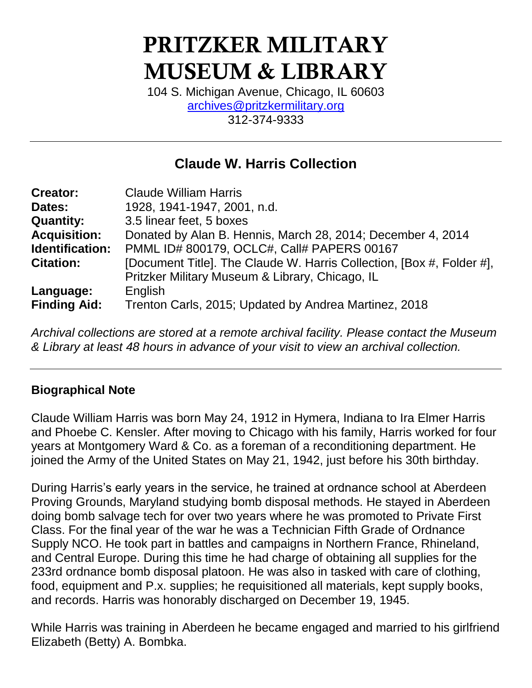# **PRITZKER MILITARY MUSEUM & LIBRARY**

104 S. Michigan Avenue, Chicago, IL 60603 [archives@pritzkermilitary.org](mailto:archives@pritzkermilitary.org) 312-374-9333

# **Claude W. Harris Collection**

| <b>Creator:</b>     | <b>Claude William Harris</b>                                          |
|---------------------|-----------------------------------------------------------------------|
| Dates:              | 1928, 1941-1947, 2001, n.d.                                           |
| <b>Quantity:</b>    | 3.5 linear feet, 5 boxes                                              |
| <b>Acquisition:</b> | Donated by Alan B. Hennis, March 28, 2014; December 4, 2014           |
| Identification:     | PMML ID# 800179, OCLC#, Call# PAPERS 00167                            |
| <b>Citation:</b>    | [Document Title]. The Claude W. Harris Collection, [Box #, Folder #], |
|                     | Pritzker Military Museum & Library, Chicago, IL                       |
| Language:           | English                                                               |
| <b>Finding Aid:</b> | Trenton Carls, 2015; Updated by Andrea Martinez, 2018                 |

*Archival collections are stored at a remote archival facility. Please contact the Museum & Library at least 48 hours in advance of your visit to view an archival collection.*

# **Biographical Note**

Claude William Harris was born May 24, 1912 in Hymera, Indiana to Ira Elmer Harris and Phoebe C. Kensler. After moving to Chicago with his family, Harris worked for four years at Montgomery Ward & Co. as a foreman of a reconditioning department. He joined the Army of the United States on May 21, 1942, just before his 30th birthday.

During Harris's early years in the service, he trained at ordnance school at Aberdeen Proving Grounds, Maryland studying bomb disposal methods. He stayed in Aberdeen doing bomb salvage tech for over two years where he was promoted to Private First Class. For the final year of the war he was a Technician Fifth Grade of Ordnance Supply NCO. He took part in battles and campaigns in Northern France, Rhineland, and Central Europe. During this time he had charge of obtaining all supplies for the 233rd ordnance bomb disposal platoon. He was also in tasked with care of clothing, food, equipment and P.x. supplies; he requisitioned all materials, kept supply books, and records. Harris was honorably discharged on December 19, 1945.

While Harris was training in Aberdeen he became engaged and married to his girlfriend Elizabeth (Betty) A. Bombka.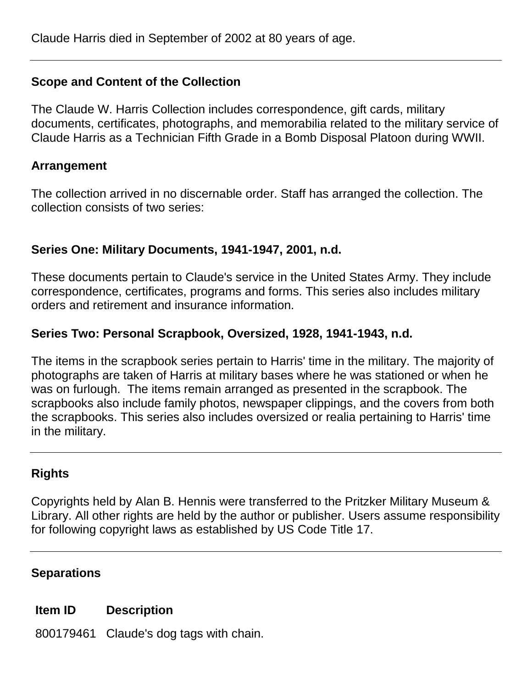# **Scope and Content of the Collection**

The Claude W. Harris Collection includes correspondence, gift cards, military documents, certificates, photographs, and memorabilia related to the military service of Claude Harris as a Technician Fifth Grade in a Bomb Disposal Platoon during WWII.

#### **Arrangement**

The collection arrived in no discernable order. Staff has arranged the collection. The collection consists of two series:

# **Series One: Military Documents, 1941-1947, 2001, n.d.**

These documents pertain to Claude's service in the United States Army. They include correspondence, certificates, programs and forms. This series also includes military orders and retirement and insurance information.

# **Series Two: Personal Scrapbook, Oversized, 1928, 1941-1943, n.d.**

The items in the scrapbook series pertain to Harris' time in the military. The majority of photographs are taken of Harris at military bases where he was stationed or when he was on furlough. The items remain arranged as presented in the scrapbook. The scrapbooks also include family photos, newspaper clippings, and the covers from both the scrapbooks. This series also includes oversized or realia pertaining to Harris' time in the military.

# **Rights**

Copyrights held by Alan B. Hennis were transferred to the Pritzker Military Museum & Library. All other rights are held by the author or publisher. Users assume responsibility for following copyright laws as established by US Code Title 17.

# **Separations**

# **Item ID Description**

800179461 Claude's dog tags with chain.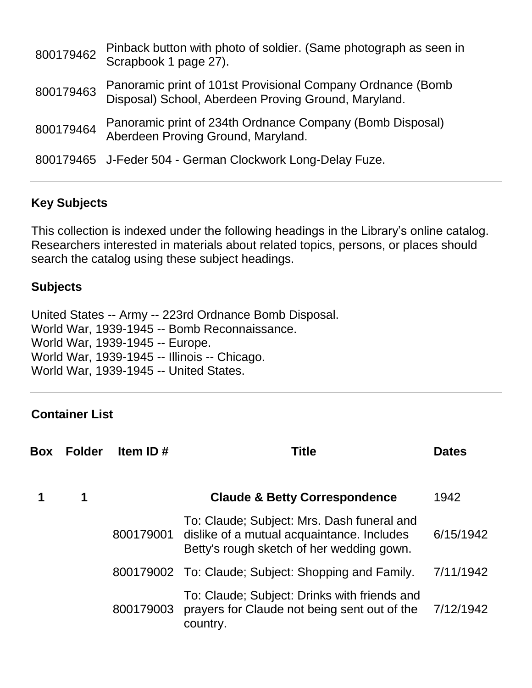| 800179462 | Pinback button with photo of soldier. (Same photograph as seen in<br>Scrapbook 1 page 27).                          |
|-----------|---------------------------------------------------------------------------------------------------------------------|
| 800179463 | Panoramic print of 101st Provisional Company Ordnance (Bomb<br>Disposal) School, Aberdeen Proving Ground, Maryland. |
| 800179464 | Panoramic print of 234th Ordnance Company (Bomb Disposal)<br>Aberdeen Proving Ground, Maryland.                     |
|           | 800179465 J-Feder 504 - German Clockwork Long-Delay Fuze.                                                           |

# **Key Subjects**

This collection is indexed under the following headings in the Library's online catalog. Researchers interested in materials about related topics, persons, or places should search the catalog using these subject headings.

#### **Subjects**

United States -- Army -- 223rd Ordnance Bomb Disposal. World War, 1939-1945 -- Bomb Reconnaissance. World War, 1939-1945 -- Europe. World War, 1939-1945 -- Illinois -- Chicago. World War, 1939-1945 -- United States.

# **Container List**

| <b>Box</b> | <b>Folder</b> | Item ID#  | <b>Title</b>                                                                                                                                    | <b>Dates</b> |
|------------|---------------|-----------|-------------------------------------------------------------------------------------------------------------------------------------------------|--------------|
|            | 1             |           | <b>Claude &amp; Betty Correspondence</b>                                                                                                        | 1942         |
|            |               |           | To: Claude; Subject: Mrs. Dash funeral and<br>800179001 dislike of a mutual acquaintance. Includes<br>Betty's rough sketch of her wedding gown. | 6/15/1942    |
|            |               |           | 800179002 To: Claude; Subject: Shopping and Family.                                                                                             | 7/11/1942    |
|            |               | 800179003 | To: Claude; Subject: Drinks with friends and<br>prayers for Claude not being sent out of the<br>country.                                        | 7/12/1942    |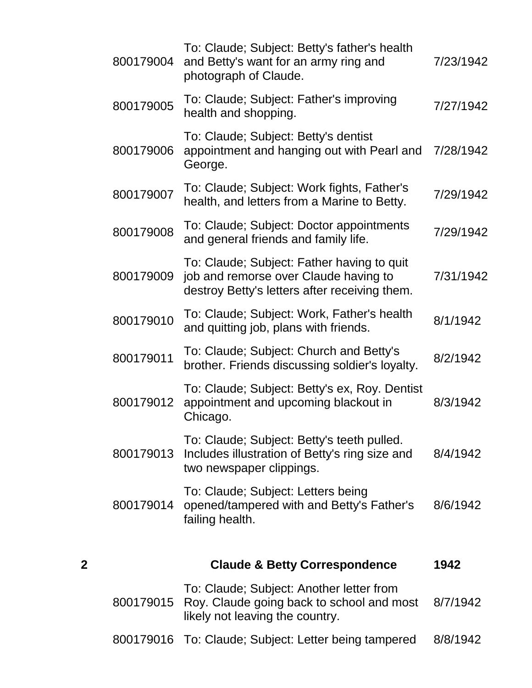|   | 800179004 | To: Claude; Subject: Betty's father's health<br>and Betty's want for an army ring and<br>photograph of Claude.                       | 7/23/1942 |
|---|-----------|--------------------------------------------------------------------------------------------------------------------------------------|-----------|
|   | 800179005 | To: Claude; Subject: Father's improving<br>health and shopping.                                                                      | 7/27/1942 |
|   | 800179006 | To: Claude; Subject: Betty's dentist<br>appointment and hanging out with Pearl and<br>George.                                        | 7/28/1942 |
|   | 800179007 | To: Claude; Subject: Work fights, Father's<br>health, and letters from a Marine to Betty.                                            | 7/29/1942 |
|   | 800179008 | To: Claude; Subject: Doctor appointments<br>and general friends and family life.                                                     | 7/29/1942 |
|   | 800179009 | To: Claude; Subject: Father having to quit<br>job and remorse over Claude having to<br>destroy Betty's letters after receiving them. | 7/31/1942 |
|   | 800179010 | To: Claude; Subject: Work, Father's health<br>and quitting job, plans with friends.                                                  | 8/1/1942  |
|   | 800179011 | To: Claude; Subject: Church and Betty's<br>brother. Friends discussing soldier's loyalty.                                            | 8/2/1942  |
|   | 800179012 | To: Claude; Subject: Betty's ex, Roy. Dentist<br>appointment and upcoming blackout in<br>Chicago.                                    | 8/3/1942  |
|   | 800179013 | To: Claude; Subject: Betty's teeth pulled.<br>Includes illustration of Betty's ring size and<br>two newspaper clippings.             | 8/4/1942  |
|   | 800179014 | To: Claude; Subject: Letters being<br>opened/tampered with and Betty's Father's<br>failing health.                                   | 8/6/1942  |
| 2 |           | <b>Claude &amp; Betty Correspondence</b>                                                                                             | 1942      |
|   | 800179015 | To: Claude; Subject: Another letter from<br>Roy. Claude going back to school and most<br>likely not leaving the country.             | 8/7/1942  |

800179016 To: Claude; Subject: Letter being tampered 8/8/1942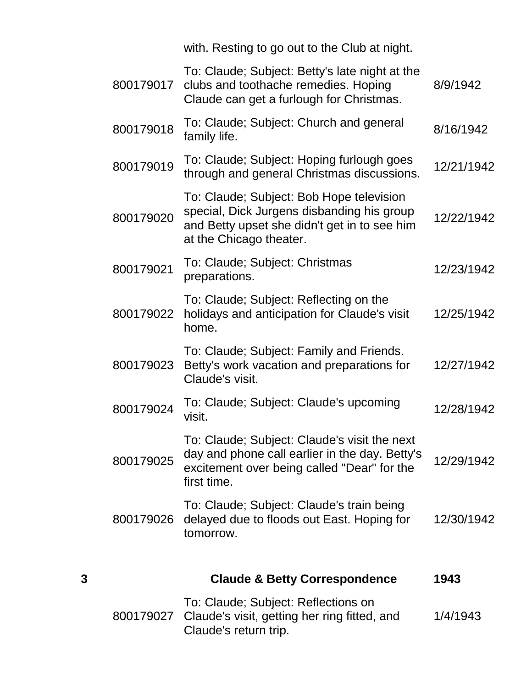with. Resting to go out to the Club at night.

| 3 |           | <b>Claude &amp; Betty Correspondence</b>                                                                                                                          | 1943       |
|---|-----------|-------------------------------------------------------------------------------------------------------------------------------------------------------------------|------------|
|   | 800179026 | To: Claude; Subject: Claude's train being<br>delayed due to floods out East. Hoping for<br>tomorrow.                                                              | 12/30/1942 |
|   | 800179025 | To: Claude; Subject: Claude's visit the next<br>day and phone call earlier in the day. Betty's<br>excitement over being called "Dear" for the<br>first time.      | 12/29/1942 |
|   | 800179024 | To: Claude; Subject: Claude's upcoming<br>visit.                                                                                                                  | 12/28/1942 |
|   | 800179023 | To: Claude; Subject: Family and Friends.<br>Betty's work vacation and preparations for<br>Claude's visit.                                                         | 12/27/1942 |
|   | 800179022 | To: Claude; Subject: Reflecting on the<br>holidays and anticipation for Claude's visit<br>home.                                                                   | 12/25/1942 |
|   | 800179021 | To: Claude; Subject: Christmas<br>preparations.                                                                                                                   | 12/23/1942 |
|   | 800179020 | To: Claude; Subject: Bob Hope television<br>special, Dick Jurgens disbanding his group<br>and Betty upset she didn't get in to see him<br>at the Chicago theater. | 12/22/1942 |
|   | 800179019 | To: Claude; Subject: Hoping furlough goes<br>through and general Christmas discussions.                                                                           | 12/21/1942 |
|   | 800179018 | To: Claude; Subject: Church and general<br>family life.                                                                                                           | 8/16/1942  |
|   | 800179017 | To: Claude; Subject: Betty's late night at the<br>clubs and toothache remedies. Hoping<br>Claude can get a furlough for Christmas.                                | 8/9/1942   |

| To: Claude; Subject: Reflections on                    |          |
|--------------------------------------------------------|----------|
| 800179027 Claude's visit, getting her ring fitted, and | 1/4/1943 |
| Claude's return trip.                                  |          |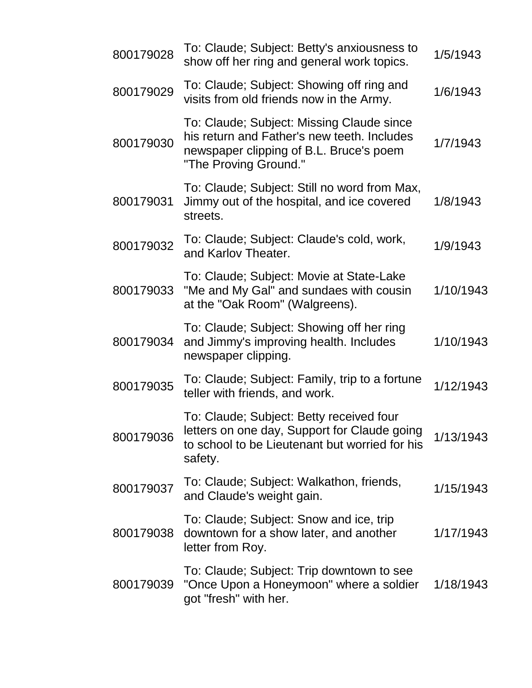| 800179028 | To: Claude; Subject: Betty's anxiousness to<br>show off her ring and general work topics.                                                                    | 1/5/1943  |
|-----------|--------------------------------------------------------------------------------------------------------------------------------------------------------------|-----------|
| 800179029 | To: Claude; Subject: Showing off ring and<br>visits from old friends now in the Army.                                                                        | 1/6/1943  |
| 800179030 | To: Claude; Subject: Missing Claude since<br>his return and Father's new teeth. Includes<br>newspaper clipping of B.L. Bruce's poem<br>"The Proving Ground." | 1/7/1943  |
| 800179031 | To: Claude; Subject: Still no word from Max,<br>Jimmy out of the hospital, and ice covered<br>streets.                                                       | 1/8/1943  |
| 800179032 | To: Claude; Subject: Claude's cold, work,<br>and Karlov Theater.                                                                                             | 1/9/1943  |
| 800179033 | To: Claude; Subject: Movie at State-Lake<br>"Me and My Gal" and sundaes with cousin<br>at the "Oak Room" (Walgreens).                                        | 1/10/1943 |
| 800179034 | To: Claude; Subject: Showing off her ring<br>and Jimmy's improving health. Includes<br>newspaper clipping.                                                   | 1/10/1943 |
| 800179035 | To: Claude; Subject: Family, trip to a fortune<br>teller with friends, and work.                                                                             | 1/12/1943 |
| 800179036 | To: Claude; Subject: Betty received four<br>letters on one day, Support for Claude going<br>to school to be Lieutenant but worried for his<br>safety.        | 1/13/1943 |
| 800179037 | To: Claude; Subject: Walkathon, friends,<br>and Claude's weight gain.                                                                                        | 1/15/1943 |
| 800179038 | To: Claude; Subject: Snow and ice, trip<br>downtown for a show later, and another<br>letter from Roy.                                                        | 1/17/1943 |
| 800179039 | To: Claude; Subject: Trip downtown to see<br>"Once Upon a Honeymoon" where a soldier<br>got "fresh" with her.                                                | 1/18/1943 |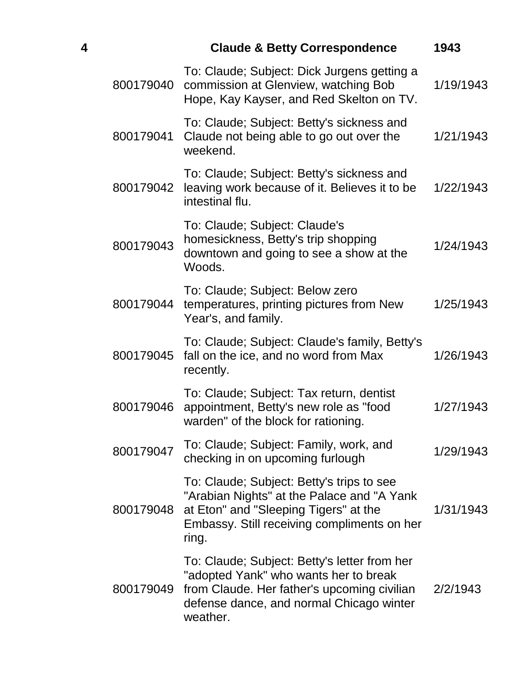| 4 |           | <b>Claude &amp; Betty Correspondence</b>                                                                                                                                                     | 1943      |
|---|-----------|----------------------------------------------------------------------------------------------------------------------------------------------------------------------------------------------|-----------|
|   | 800179040 | To: Claude; Subject: Dick Jurgens getting a<br>commission at Glenview, watching Bob<br>Hope, Kay Kayser, and Red Skelton on TV.                                                              | 1/19/1943 |
|   | 800179041 | To: Claude; Subject: Betty's sickness and<br>Claude not being able to go out over the<br>weekend.                                                                                            | 1/21/1943 |
|   | 800179042 | To: Claude; Subject: Betty's sickness and<br>leaving work because of it. Believes it to be<br>intestinal flu.                                                                                | 1/22/1943 |
|   | 800179043 | To: Claude; Subject: Claude's<br>homesickness, Betty's trip shopping<br>downtown and going to see a show at the<br>Woods.                                                                    | 1/24/1943 |
|   | 800179044 | To: Claude; Subject: Below zero<br>temperatures, printing pictures from New<br>Year's, and family.                                                                                           | 1/25/1943 |
|   | 800179045 | To: Claude; Subject: Claude's family, Betty's<br>fall on the ice, and no word from Max<br>recently.                                                                                          | 1/26/1943 |
|   | 800179046 | To: Claude; Subject: Tax return, dentist<br>appointment, Betty's new role as "food<br>warden" of the block for rationing.                                                                    | 1/27/1943 |
|   | 800179047 | To: Claude; Subject: Family, work, and<br>checking in on upcoming furlough                                                                                                                   | 1/29/1943 |
|   | 800179048 | To: Claude; Subject: Betty's trips to see<br>"Arabian Nights" at the Palace and "A Yank<br>at Eton" and "Sleeping Tigers" at the<br>Embassy. Still receiving compliments on her<br>ring.     | 1/31/1943 |
|   | 800179049 | To: Claude; Subject: Betty's letter from her<br>"adopted Yank" who wants her to break<br>from Claude. Her father's upcoming civilian<br>defense dance, and normal Chicago winter<br>weather. | 2/2/1943  |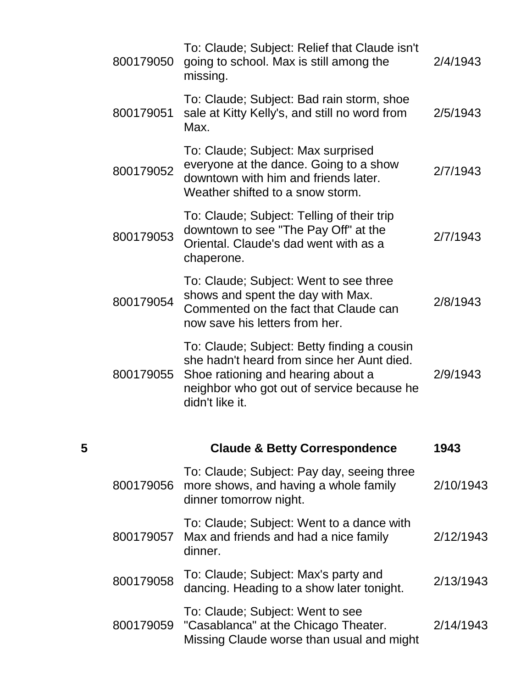|   | 800179050 | To: Claude; Subject: Relief that Claude isn't<br>going to school. Max is still among the<br>missing.                                                                                             | 2/4/1943  |
|---|-----------|--------------------------------------------------------------------------------------------------------------------------------------------------------------------------------------------------|-----------|
|   | 800179051 | To: Claude; Subject: Bad rain storm, shoe<br>sale at Kitty Kelly's, and still no word from<br>Max.                                                                                               | 2/5/1943  |
|   | 800179052 | To: Claude; Subject: Max surprised<br>everyone at the dance. Going to a show<br>downtown with him and friends later.<br>Weather shifted to a snow storm.                                         | 2/7/1943  |
|   | 800179053 | To: Claude; Subject: Telling of their trip<br>downtown to see "The Pay Off" at the<br>Oriental, Claude's dad went with as a<br>chaperone.                                                        | 2/7/1943  |
|   | 800179054 | To: Claude; Subject: Went to see three<br>shows and spent the day with Max.<br>Commented on the fact that Claude can<br>now save his letters from her.                                           | 2/8/1943  |
|   | 800179055 | To: Claude; Subject: Betty finding a cousin<br>she hadn't heard from since her Aunt died.<br>Shoe rationing and hearing about a<br>neighbor who got out of service because he<br>didn't like it. | 2/9/1943  |
| 5 |           | <b>Claude &amp; Betty Correspondence</b>                                                                                                                                                         | 1943      |
|   | 800179056 | To: Claude; Subject: Pay day, seeing three<br>more shows, and having a whole family<br>dinner tomorrow night.                                                                                    | 2/10/1943 |
|   | 800179057 | To: Claude; Subject: Went to a dance with<br>Max and friends and had a nice family<br>dinner.                                                                                                    | 2/12/1943 |
|   | 800179058 | To: Claude; Subject: Max's party and<br>dancing. Heading to a show later tonight.                                                                                                                | 2/13/1943 |
|   | 800179059 | To: Claude; Subject: Went to see<br>"Casablanca" at the Chicago Theater.<br>Missing Claude worse than usual and might                                                                            | 2/14/1943 |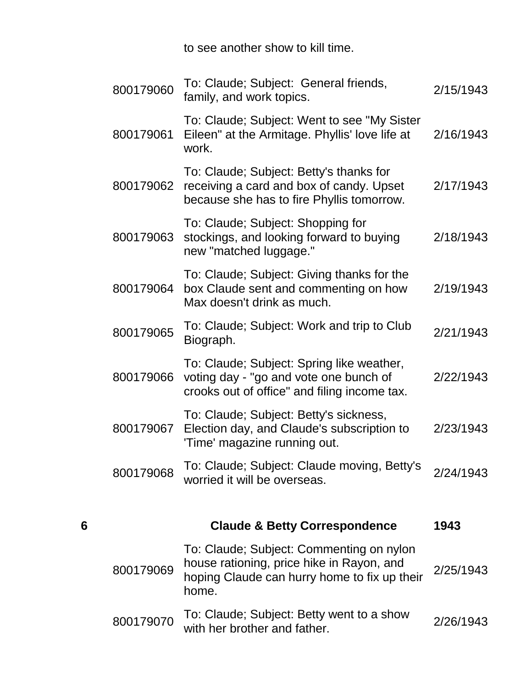to see another show to kill time.

|   | 800179060 | To: Claude; Subject: General friends,<br>family, and work topics.                                                                              | 2/15/1943 |
|---|-----------|------------------------------------------------------------------------------------------------------------------------------------------------|-----------|
|   | 800179061 | To: Claude; Subject: Went to see "My Sister"<br>Eileen" at the Armitage. Phyllis' love life at<br>work.                                        | 2/16/1943 |
|   | 800179062 | To: Claude; Subject: Betty's thanks for<br>receiving a card and box of candy. Upset<br>because she has to fire Phyllis tomorrow.               | 2/17/1943 |
|   | 800179063 | To: Claude; Subject: Shopping for<br>stockings, and looking forward to buying<br>new "matched luggage."                                        | 2/18/1943 |
|   | 800179064 | To: Claude; Subject: Giving thanks for the<br>box Claude sent and commenting on how<br>Max doesn't drink as much.                              | 2/19/1943 |
|   | 800179065 | To: Claude; Subject: Work and trip to Club<br>Biograph.                                                                                        | 2/21/1943 |
|   | 800179066 | To: Claude; Subject: Spring like weather,<br>voting day - "go and vote one bunch of<br>crooks out of office" and filing income tax.            | 2/22/1943 |
|   | 800179067 | To: Claude; Subject: Betty's sickness,<br>Election day, and Claude's subscription to<br>'Time' magazine running out.                           | 2/23/1943 |
|   | 800179068 | To: Claude; Subject: Claude moving, Betty's<br>worried it will be overseas.                                                                    | 2/24/1943 |
|   |           |                                                                                                                                                |           |
| 6 |           | <b>Claude &amp; Betty Correspondence</b>                                                                                                       | 1943      |
|   | 800179069 | To: Claude; Subject: Commenting on nylon<br>house rationing, price hike in Rayon, and<br>hoping Claude can hurry home to fix up their<br>home. | 2/25/1943 |
|   | 800179070 | To: Claude; Subject: Betty went to a show<br>with her brother and father.                                                                      | 2/26/1943 |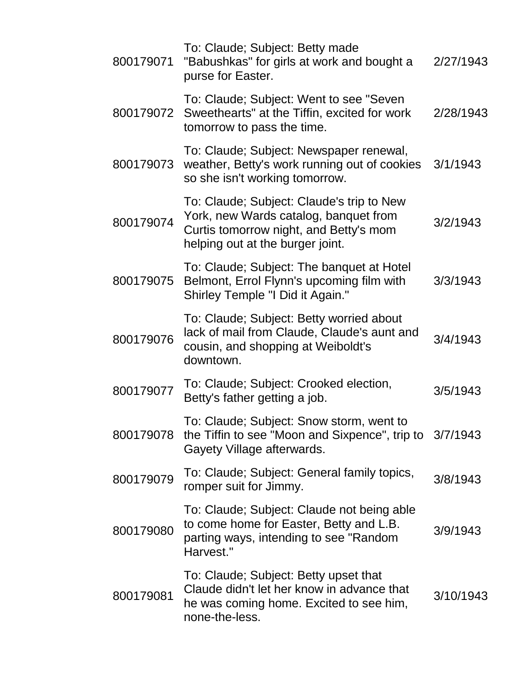| 800179071 | To: Claude; Subject: Betty made<br>"Babushkas" for girls at work and bought a<br>purse for Easter.                                                               | 2/27/1943 |
|-----------|------------------------------------------------------------------------------------------------------------------------------------------------------------------|-----------|
| 800179072 | To: Claude; Subject: Went to see "Seven"<br>Sweethearts" at the Tiffin, excited for work<br>tomorrow to pass the time.                                           | 2/28/1943 |
| 800179073 | To: Claude; Subject: Newspaper renewal,<br>weather, Betty's work running out of cookies<br>so she isn't working tomorrow.                                        | 3/1/1943  |
| 800179074 | To: Claude; Subject: Claude's trip to New<br>York, new Wards catalog, banquet from<br>Curtis tomorrow night, and Betty's mom<br>helping out at the burger joint. | 3/2/1943  |
| 800179075 | To: Claude; Subject: The banquet at Hotel<br>Belmont, Errol Flynn's upcoming film with<br>Shirley Temple "I Did it Again."                                       | 3/3/1943  |
| 800179076 | To: Claude; Subject: Betty worried about<br>lack of mail from Claude, Claude's aunt and<br>cousin, and shopping at Weiboldt's<br>downtown.                       | 3/4/1943  |
| 800179077 | To: Claude; Subject: Crooked election,<br>Betty's father getting a job.                                                                                          | 3/5/1943  |
| 800179078 | To: Claude; Subject: Snow storm, went to<br>the Tiffin to see "Moon and Sixpence", trip to 3/7/1943<br>Gayety Village afterwards.                                |           |
| 800179079 | To: Claude; Subject: General family topics,<br>romper suit for Jimmy.                                                                                            | 3/8/1943  |
| 800179080 | To: Claude; Subject: Claude not being able<br>to come home for Easter, Betty and L.B.<br>parting ways, intending to see "Random<br>Harvest."                     | 3/9/1943  |
| 800179081 | To: Claude; Subject: Betty upset that<br>Claude didn't let her know in advance that<br>he was coming home. Excited to see him,<br>none-the-less.                 | 3/10/1943 |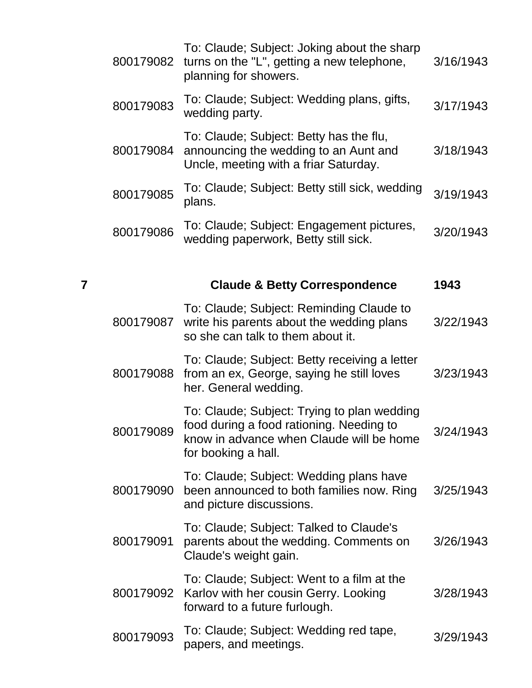|   | 800179082 | To: Claude; Subject: Joking about the sharp<br>turns on the "L", getting a new telephone,<br>planning for showers.                                         | 3/16/1943 |
|---|-----------|------------------------------------------------------------------------------------------------------------------------------------------------------------|-----------|
|   | 800179083 | To: Claude; Subject: Wedding plans, gifts,<br>wedding party.                                                                                               | 3/17/1943 |
|   | 800179084 | To: Claude; Subject: Betty has the flu,<br>announcing the wedding to an Aunt and<br>Uncle, meeting with a friar Saturday.                                  | 3/18/1943 |
|   | 800179085 | To: Claude; Subject: Betty still sick, wedding<br>plans.                                                                                                   | 3/19/1943 |
|   | 800179086 | To: Claude; Subject: Engagement pictures,<br>wedding paperwork, Betty still sick.                                                                          | 3/20/1943 |
| 7 |           | <b>Claude &amp; Betty Correspondence</b>                                                                                                                   | 1943      |
|   | 800179087 | To: Claude; Subject: Reminding Claude to<br>write his parents about the wedding plans<br>so she can talk to them about it.                                 | 3/22/1943 |
|   | 800179088 | To: Claude; Subject: Betty receiving a letter<br>from an ex, George, saying he still loves<br>her. General wedding.                                        | 3/23/1943 |
|   | 800179089 | To: Claude; Subject: Trying to plan wedding<br>food during a food rationing. Needing to<br>know in advance when Claude will be home<br>for booking a hall. | 3/24/1943 |
|   | 800179090 | To: Claude; Subject: Wedding plans have<br>been announced to both families now. Ring<br>and picture discussions.                                           | 3/25/1943 |
|   | 800179091 | To: Claude; Subject: Talked to Claude's<br>parents about the wedding. Comments on<br>Claude's weight gain.                                                 | 3/26/1943 |
|   | 800179092 | To: Claude; Subject: Went to a film at the<br>Karlov with her cousin Gerry. Looking<br>forward to a future furlough.                                       | 3/28/1943 |
|   | 800179093 | To: Claude; Subject: Wedding red tape,<br>papers, and meetings.                                                                                            | 3/29/1943 |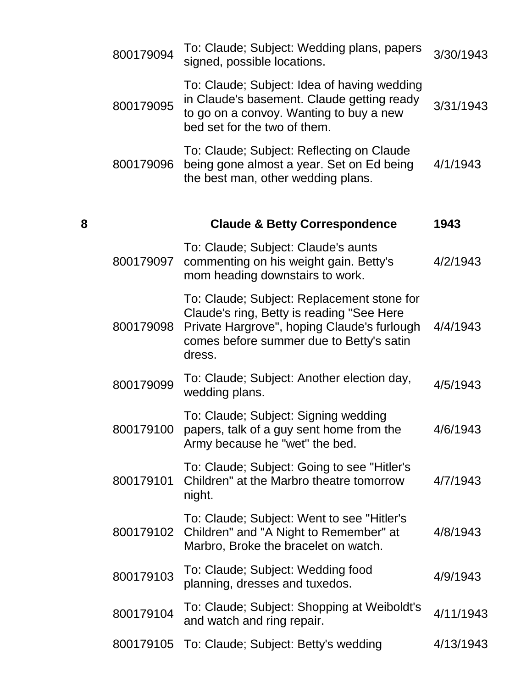|   | 800179094 | To: Claude; Subject: Wedding plans, papers<br>signed, possible locations.                                                                                                                    | 3/30/1943 |
|---|-----------|----------------------------------------------------------------------------------------------------------------------------------------------------------------------------------------------|-----------|
|   | 800179095 | To: Claude; Subject: Idea of having wedding<br>in Claude's basement. Claude getting ready<br>to go on a convoy. Wanting to buy a new<br>bed set for the two of them.                         | 3/31/1943 |
|   | 800179096 | To: Claude; Subject: Reflecting on Claude<br>being gone almost a year. Set on Ed being<br>the best man, other wedding plans.                                                                 | 4/1/1943  |
| 8 |           | <b>Claude &amp; Betty Correspondence</b>                                                                                                                                                     | 1943      |
|   | 800179097 | To: Claude; Subject: Claude's aunts<br>commenting on his weight gain. Betty's<br>mom heading downstairs to work.                                                                             | 4/2/1943  |
|   | 800179098 | To: Claude; Subject: Replacement stone for<br>Claude's ring, Betty is reading "See Here<br>Private Hargrove", hoping Claude's furlough<br>comes before summer due to Betty's satin<br>dress. | 4/4/1943  |
|   | 800179099 | To: Claude; Subject: Another election day,<br>wedding plans.                                                                                                                                 | 4/5/1943  |
|   | 800179100 | To: Claude; Subject: Signing wedding<br>papers, talk of a guy sent home from the<br>Army because he "wet" the bed.                                                                           | 4/6/1943  |
|   | 800179101 | To: Claude; Subject: Going to see "Hitler's<br>Children" at the Marbro theatre tomorrow<br>night.                                                                                            | 4/7/1943  |
|   | 800179102 | To: Claude; Subject: Went to see "Hitler's<br>Children" and "A Night to Remember" at<br>Marbro, Broke the bracelet on watch.                                                                 | 4/8/1943  |
|   | 800179103 | To: Claude; Subject: Wedding food<br>planning, dresses and tuxedos.                                                                                                                          | 4/9/1943  |
|   | 800179104 | To: Claude; Subject: Shopping at Weiboldt's<br>and watch and ring repair.                                                                                                                    | 4/11/1943 |
|   |           | 800179105 To: Claude; Subject: Betty's wedding                                                                                                                                               | 4/13/1943 |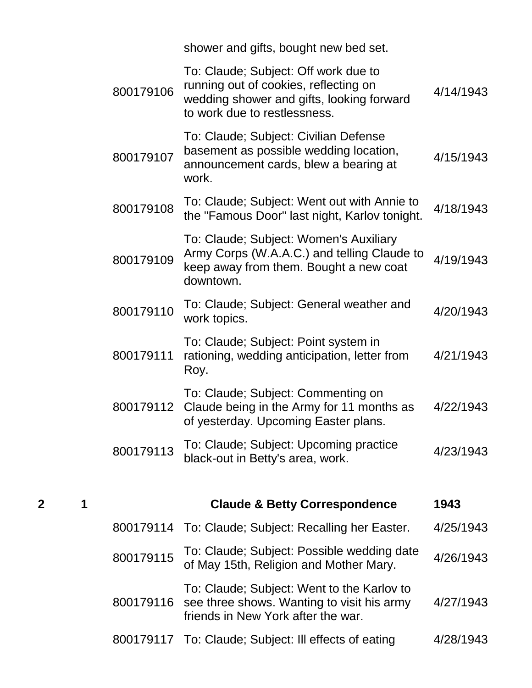|                |   |           | shower and gifts, bought new bed set.                                                                                                                      |           |
|----------------|---|-----------|------------------------------------------------------------------------------------------------------------------------------------------------------------|-----------|
|                |   | 800179106 | To: Claude; Subject: Off work due to<br>running out of cookies, reflecting on<br>wedding shower and gifts, looking forward<br>to work due to restlessness. | 4/14/1943 |
|                |   | 800179107 | To: Claude; Subject: Civilian Defense<br>basement as possible wedding location,<br>announcement cards, blew a bearing at<br>work.                          | 4/15/1943 |
|                |   | 800179108 | To: Claude; Subject: Went out with Annie to<br>the "Famous Door" last night, Karlov tonight.                                                               | 4/18/1943 |
|                |   | 800179109 | To: Claude; Subject: Women's Auxiliary<br>Army Corps (W.A.A.C.) and telling Claude to<br>keep away from them. Bought a new coat<br>downtown.               | 4/19/1943 |
|                |   | 800179110 | To: Claude; Subject: General weather and<br>work topics.                                                                                                   | 4/20/1943 |
|                |   | 800179111 | To: Claude; Subject: Point system in<br>rationing, wedding anticipation, letter from<br>Roy.                                                               | 4/21/1943 |
|                |   | 800179112 | To: Claude; Subject: Commenting on<br>Claude being in the Army for 11 months as<br>of yesterday. Upcoming Easter plans.                                    | 4/22/1943 |
|                |   | 800179113 | To: Claude; Subject: Upcoming practice<br>black-out in Betty's area, work.                                                                                 | 4/23/1943 |
| $\overline{2}$ | 1 |           | <b>Claude &amp; Betty Correspondence</b>                                                                                                                   | 1943      |
|                |   |           | 800179114 To: Claude; Subject: Recalling her Easter.                                                                                                       | 4/25/1943 |
|                |   | 800179115 | To: Claude; Subject: Possible wedding date<br>of May 15th, Religion and Mother Mary.                                                                       | 4/26/1943 |
|                |   | 800179116 | To: Claude; Subject: Went to the Karlov to<br>see three shows. Wanting to visit his army<br>friends in New York after the war.                             | 4/27/1943 |
|                |   |           | 800179117 To: Claude; Subject: Ill effects of eating                                                                                                       | 4/28/1943 |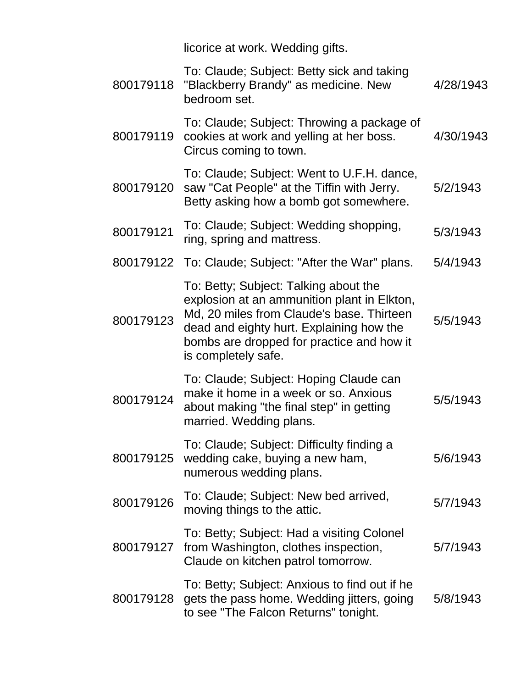licorice at work. Wedding gifts.

| 800179118 | To: Claude; Subject: Betty sick and taking<br>"Blackberry Brandy" as medicine. New<br>bedroom set.                                                                                                                                                | 4/28/1943 |
|-----------|---------------------------------------------------------------------------------------------------------------------------------------------------------------------------------------------------------------------------------------------------|-----------|
| 800179119 | To: Claude; Subject: Throwing a package of<br>cookies at work and yelling at her boss.<br>Circus coming to town.                                                                                                                                  | 4/30/1943 |
| 800179120 | To: Claude; Subject: Went to U.F.H. dance,<br>saw "Cat People" at the Tiffin with Jerry.<br>Betty asking how a bomb got somewhere.                                                                                                                | 5/2/1943  |
| 800179121 | To: Claude; Subject: Wedding shopping,<br>ring, spring and mattress.                                                                                                                                                                              | 5/3/1943  |
|           | 800179122 To: Claude; Subject: "After the War" plans.                                                                                                                                                                                             | 5/4/1943  |
| 800179123 | To: Betty; Subject: Talking about the<br>explosion at an ammunition plant in Elkton,<br>Md, 20 miles from Claude's base. Thirteen<br>dead and eighty hurt. Explaining how the<br>bombs are dropped for practice and how it<br>is completely safe. | 5/5/1943  |
| 800179124 | To: Claude; Subject: Hoping Claude can<br>make it home in a week or so. Anxious<br>about making "the final step" in getting<br>married. Wedding plans.                                                                                            | 5/5/1943  |
| 800179125 | To: Claude; Subject: Difficulty finding a<br>wedding cake, buying a new ham,<br>numerous wedding plans.                                                                                                                                           | 5/6/1943  |
| 800179126 | To: Claude; Subject: New bed arrived,<br>moving things to the attic.                                                                                                                                                                              | 5/7/1943  |
| 800179127 | To: Betty; Subject: Had a visiting Colonel<br>from Washington, clothes inspection,<br>Claude on kitchen patrol tomorrow.                                                                                                                          | 5/7/1943  |
| 800179128 | To: Betty; Subject: Anxious to find out if he<br>gets the pass home. Wedding jitters, going<br>to see "The Falcon Returns" tonight.                                                                                                               | 5/8/1943  |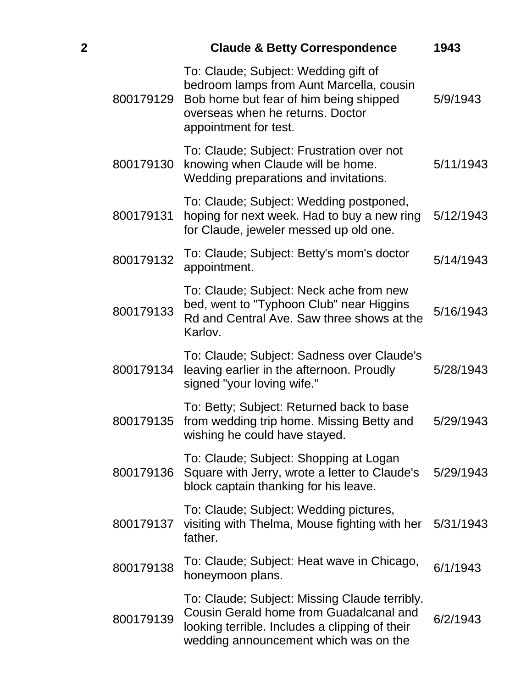| $\overline{\mathbf{2}}$ |           | <b>Claude &amp; Betty Correspondence</b>                                                                                                                                                | 1943      |
|-------------------------|-----------|-----------------------------------------------------------------------------------------------------------------------------------------------------------------------------------------|-----------|
|                         | 800179129 | To: Claude; Subject: Wedding gift of<br>bedroom lamps from Aunt Marcella, cousin<br>Bob home but fear of him being shipped<br>overseas when he returns. Doctor<br>appointment for test. | 5/9/1943  |
|                         | 800179130 | To: Claude; Subject: Frustration over not<br>knowing when Claude will be home.<br>Wedding preparations and invitations.                                                                 | 5/11/1943 |
|                         | 800179131 | To: Claude; Subject: Wedding postponed,<br>hoping for next week. Had to buy a new ring<br>for Claude, jeweler messed up old one.                                                        | 5/12/1943 |
|                         | 800179132 | To: Claude; Subject: Betty's mom's doctor<br>appointment.                                                                                                                               | 5/14/1943 |
|                         | 800179133 | To: Claude; Subject: Neck ache from new<br>bed, went to "Typhoon Club" near Higgins<br>Rd and Central Ave. Saw three shows at the<br>Karlov.                                            | 5/16/1943 |
|                         | 800179134 | To: Claude; Subject: Sadness over Claude's<br>leaving earlier in the afternoon. Proudly<br>signed "your loving wife."                                                                   | 5/28/1943 |
|                         | 800179135 | To: Betty; Subject: Returned back to base<br>from wedding trip home. Missing Betty and<br>wishing he could have stayed.                                                                 | 5/29/1943 |
|                         | 800179136 | To: Claude; Subject: Shopping at Logan<br>Square with Jerry, wrote a letter to Claude's<br>block captain thanking for his leave.                                                        | 5/29/1943 |
|                         | 800179137 | To: Claude; Subject: Wedding pictures,<br>visiting with Thelma, Mouse fighting with her<br>father.                                                                                      | 5/31/1943 |
|                         | 800179138 | To: Claude; Subject: Heat wave in Chicago,<br>honeymoon plans.                                                                                                                          | 6/1/1943  |
|                         | 800179139 | To: Claude; Subject: Missing Claude terribly.<br>Cousin Gerald home from Guadalcanal and<br>looking terrible. Includes a clipping of their<br>wedding announcement which was on the     | 6/2/1943  |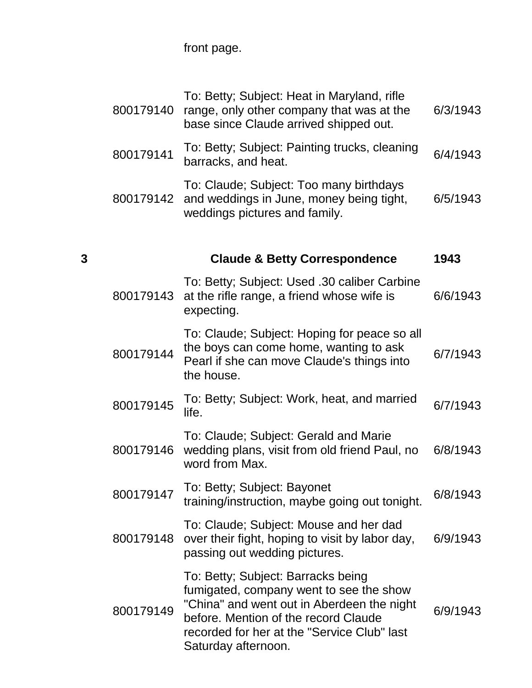front page.

|   | 800179140 | To: Betty; Subject: Heat in Maryland, rifle<br>range, only other company that was at the<br>base since Claude arrived shipped out.                                                                                                        | 6/3/1943 |
|---|-----------|-------------------------------------------------------------------------------------------------------------------------------------------------------------------------------------------------------------------------------------------|----------|
|   | 800179141 | To: Betty; Subject: Painting trucks, cleaning<br>barracks, and heat.                                                                                                                                                                      | 6/4/1943 |
|   | 800179142 | To: Claude; Subject: Too many birthdays<br>and weddings in June, money being tight,<br>weddings pictures and family.                                                                                                                      | 6/5/1943 |
|   |           |                                                                                                                                                                                                                                           |          |
| 3 |           | <b>Claude &amp; Betty Correspondence</b>                                                                                                                                                                                                  | 1943     |
|   | 800179143 | To: Betty; Subject: Used .30 caliber Carbine<br>at the rifle range, a friend whose wife is<br>expecting.                                                                                                                                  | 6/6/1943 |
|   | 800179144 | To: Claude; Subject: Hoping for peace so all<br>the boys can come home, wanting to ask<br>Pearl if she can move Claude's things into<br>the house.                                                                                        | 6/7/1943 |
|   | 800179145 | To: Betty; Subject: Work, heat, and married<br>life.                                                                                                                                                                                      | 6/7/1943 |
|   | 800179146 | To: Claude; Subject: Gerald and Marie<br>wedding plans, visit from old friend Paul, no<br>word from Max.                                                                                                                                  | 6/8/1943 |
|   | 800179147 | To: Betty; Subject: Bayonet<br>training/instruction, maybe going out tonight.                                                                                                                                                             | 6/8/1943 |
|   | 800179148 | To: Claude; Subject: Mouse and her dad<br>over their fight, hoping to visit by labor day,<br>passing out wedding pictures.                                                                                                                | 6/9/1943 |
|   | 800179149 | To: Betty; Subject: Barracks being<br>fumigated, company went to see the show<br>"China" and went out in Aberdeen the night<br>before. Mention of the record Claude<br>recorded for her at the "Service Club" last<br>Saturday afternoon. | 6/9/1943 |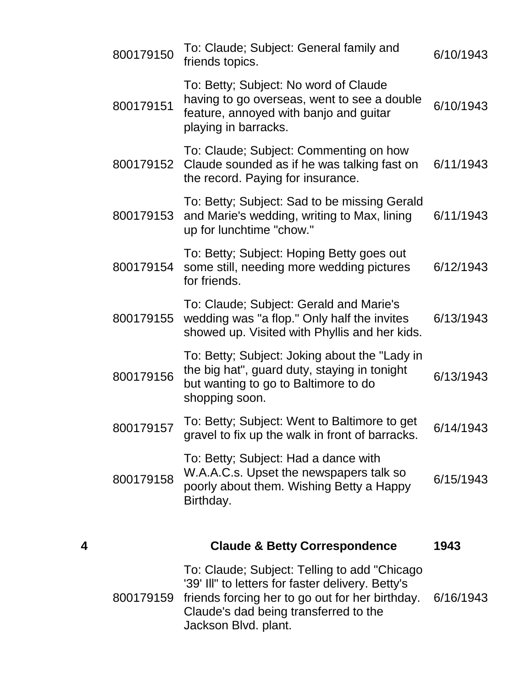|   | 800179150 | To: Claude; Subject: General family and<br>friends topics.                                                                                                                                                             | 6/10/1943 |
|---|-----------|------------------------------------------------------------------------------------------------------------------------------------------------------------------------------------------------------------------------|-----------|
|   | 800179151 | To: Betty; Subject: No word of Claude<br>having to go overseas, went to see a double<br>feature, annoyed with banjo and guitar<br>playing in barracks.                                                                 | 6/10/1943 |
|   | 800179152 | To: Claude; Subject: Commenting on how<br>Claude sounded as if he was talking fast on<br>the record. Paying for insurance.                                                                                             | 6/11/1943 |
|   | 800179153 | To: Betty; Subject: Sad to be missing Gerald<br>and Marie's wedding, writing to Max, lining<br>up for lunchtime "chow."                                                                                                | 6/11/1943 |
|   | 800179154 | To: Betty; Subject: Hoping Betty goes out<br>some still, needing more wedding pictures<br>for friends.                                                                                                                 | 6/12/1943 |
|   | 800179155 | To: Claude; Subject: Gerald and Marie's<br>wedding was "a flop." Only half the invites<br>showed up. Visited with Phyllis and her kids.                                                                                | 6/13/1943 |
|   | 800179156 | To: Betty; Subject: Joking about the "Lady in<br>the big hat", guard duty, staying in tonight<br>but wanting to go to Baltimore to do<br>shopping soon.                                                                | 6/13/1943 |
|   | 800179157 | To: Betty; Subject: Went to Baltimore to get<br>gravel to fix up the walk in front of barracks.                                                                                                                        | 6/14/1943 |
|   | 800179158 | To: Betty; Subject: Had a dance with<br>W.A.A.C.s. Upset the newspapers talk so<br>poorly about them. Wishing Betty a Happy<br>Birthday.                                                                               | 6/15/1943 |
| 4 |           | <b>Claude &amp; Betty Correspondence</b>                                                                                                                                                                               | 1943      |
|   | 800179159 | To: Claude; Subject: Telling to add "Chicago"<br>'39' Ill" to letters for faster delivery. Betty's<br>friends forcing her to go out for her birthday.<br>Claude's dad being transferred to the<br>Jackson Blvd. plant. | 6/16/1943 |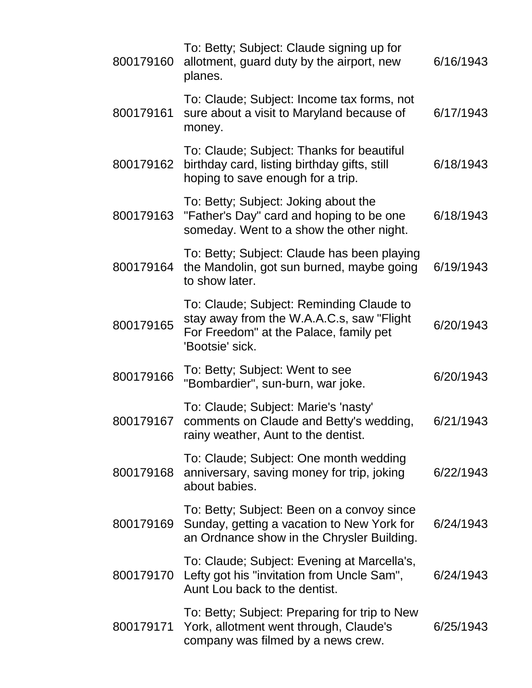| 800179160 | To: Betty; Subject: Claude signing up for<br>allotment, guard duty by the airport, new<br>planes.                                                  | 6/16/1943 |
|-----------|----------------------------------------------------------------------------------------------------------------------------------------------------|-----------|
| 800179161 | To: Claude; Subject: Income tax forms, not<br>sure about a visit to Maryland because of<br>money.                                                  | 6/17/1943 |
| 800179162 | To: Claude; Subject: Thanks for beautiful<br>birthday card, listing birthday gifts, still<br>hoping to save enough for a trip.                     | 6/18/1943 |
| 800179163 | To: Betty; Subject: Joking about the<br>"Father's Day" card and hoping to be one<br>someday. Went to a show the other night.                       | 6/18/1943 |
| 800179164 | To: Betty; Subject: Claude has been playing<br>the Mandolin, got sun burned, maybe going<br>to show later.                                         | 6/19/1943 |
| 800179165 | To: Claude; Subject: Reminding Claude to<br>stay away from the W.A.A.C.s, saw "Flight<br>For Freedom" at the Palace, family pet<br>'Bootsie' sick. | 6/20/1943 |
| 800179166 | To: Betty; Subject: Went to see<br>"Bombardier", sun-burn, war joke.                                                                               | 6/20/1943 |
| 800179167 | To: Claude; Subject: Marie's 'nasty'<br>comments on Claude and Betty's wedding,<br>rainy weather, Aunt to the dentist.                             | 6/21/1943 |
| 800179168 | To: Claude; Subject: One month wedding<br>anniversary, saving money for trip, joking<br>about babies.                                              | 6/22/1943 |
| 800179169 | To: Betty; Subject: Been on a convoy since<br>Sunday, getting a vacation to New York for<br>an Ordnance show in the Chrysler Building.             | 6/24/1943 |
| 800179170 | To: Claude; Subject: Evening at Marcella's,<br>Lefty got his "invitation from Uncle Sam",<br>Aunt Lou back to the dentist.                         | 6/24/1943 |
| 800179171 | To: Betty; Subject: Preparing for trip to New<br>York, allotment went through, Claude's<br>company was filmed by a news crew.                      | 6/25/1943 |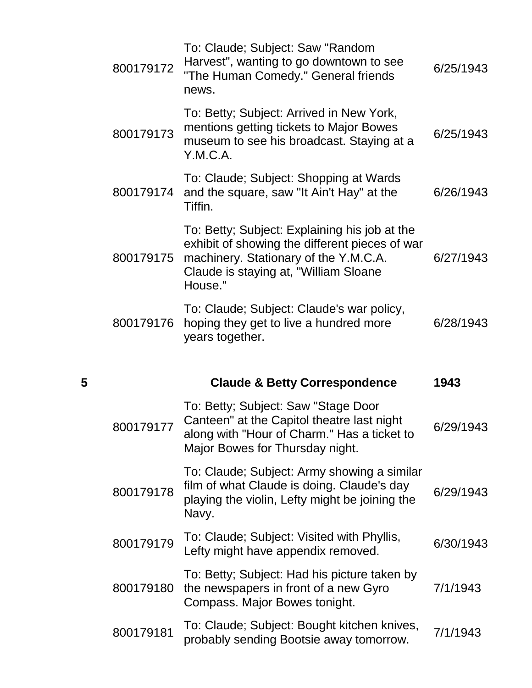|   | 800179172 | To: Claude; Subject: Saw "Random<br>Harvest", wanting to go downtown to see<br>"The Human Comedy." General friends<br>news.                                                                   | 6/25/1943 |
|---|-----------|-----------------------------------------------------------------------------------------------------------------------------------------------------------------------------------------------|-----------|
|   | 800179173 | To: Betty; Subject: Arrived in New York,<br>mentions getting tickets to Major Bowes<br>museum to see his broadcast. Staying at a<br>Y.M.C.A.                                                  | 6/25/1943 |
|   | 800179174 | To: Claude; Subject: Shopping at Wards<br>and the square, saw "It Ain't Hay" at the<br>Tiffin.                                                                                                | 6/26/1943 |
|   | 800179175 | To: Betty; Subject: Explaining his job at the<br>exhibit of showing the different pieces of war<br>machinery. Stationary of the Y.M.C.A.<br>Claude is staying at, "William Sloane"<br>House." | 6/27/1943 |
|   | 800179176 | To: Claude; Subject: Claude's war policy,<br>hoping they get to live a hundred more<br>years together.                                                                                        | 6/28/1943 |
|   |           |                                                                                                                                                                                               |           |
| 5 |           | <b>Claude &amp; Betty Correspondence</b>                                                                                                                                                      | 1943      |
|   | 800179177 | To: Betty; Subject: Saw "Stage Door<br>Canteen" at the Capitol theatre last night<br>along with "Hour of Charm." Has a ticket to<br>Major Bowes for Thursday night.                           | 6/29/1943 |
|   | 800179178 | To: Claude; Subject: Army showing a similar<br>film of what Claude is doing. Claude's day<br>playing the violin, Lefty might be joining the<br>Navy.                                          | 6/29/1943 |
|   | 800179179 | To: Claude; Subject: Visited with Phyllis,<br>Lefty might have appendix removed.                                                                                                              | 6/30/1943 |
|   | 800179180 | To: Betty; Subject: Had his picture taken by<br>the newspapers in front of a new Gyro<br>Compass. Major Bowes tonight.                                                                        | 7/1/1943  |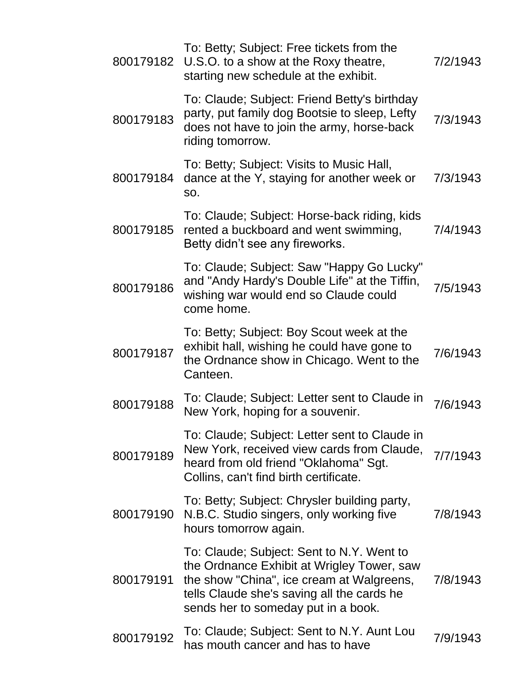| 800179182 | To: Betty; Subject: Free tickets from the<br>U.S.O. to a show at the Roxy theatre,<br>starting new schedule at the exhibit.                                                                                               | 7/2/1943 |
|-----------|---------------------------------------------------------------------------------------------------------------------------------------------------------------------------------------------------------------------------|----------|
| 800179183 | To: Claude; Subject: Friend Betty's birthday<br>party, put family dog Bootsie to sleep, Lefty<br>does not have to join the army, horse-back<br>riding tomorrow.                                                           | 7/3/1943 |
| 800179184 | To: Betty; Subject: Visits to Music Hall,<br>dance at the Y, staying for another week or<br>SO.                                                                                                                           | 7/3/1943 |
| 800179185 | To: Claude; Subject: Horse-back riding, kids<br>rented a buckboard and went swimming,<br>Betty didn't see any fireworks.                                                                                                  | 7/4/1943 |
| 800179186 | To: Claude; Subject: Saw "Happy Go Lucky"<br>and "Andy Hardy's Double Life" at the Tiffin,<br>wishing war would end so Claude could<br>come home.                                                                         | 7/5/1943 |
| 800179187 | To: Betty; Subject: Boy Scout week at the<br>exhibit hall, wishing he could have gone to<br>the Ordnance show in Chicago. Went to the<br>Canteen.                                                                         | 7/6/1943 |
| 800179188 | To: Claude; Subject: Letter sent to Claude in<br>New York, hoping for a souvenir.                                                                                                                                         | 7/6/1943 |
| 800179189 | To: Claude; Subject: Letter sent to Claude in<br>New York, received view cards from Claude,<br>heard from old friend "Oklahoma" Sgt.<br>Collins, can't find birth certificate.                                            | 7/7/1943 |
| 800179190 | To: Betty; Subject: Chrysler building party,<br>N.B.C. Studio singers, only working five<br>hours tomorrow again.                                                                                                         | 7/8/1943 |
| 800179191 | To: Claude; Subject: Sent to N.Y. Went to<br>the Ordnance Exhibit at Wrigley Tower, saw<br>the show "China", ice cream at Walgreens,<br>tells Claude she's saving all the cards he<br>sends her to someday put in a book. | 7/8/1943 |
| 800179192 | To: Claude; Subject: Sent to N.Y. Aunt Lou<br>has mouth cancer and has to have                                                                                                                                            | 7/9/1943 |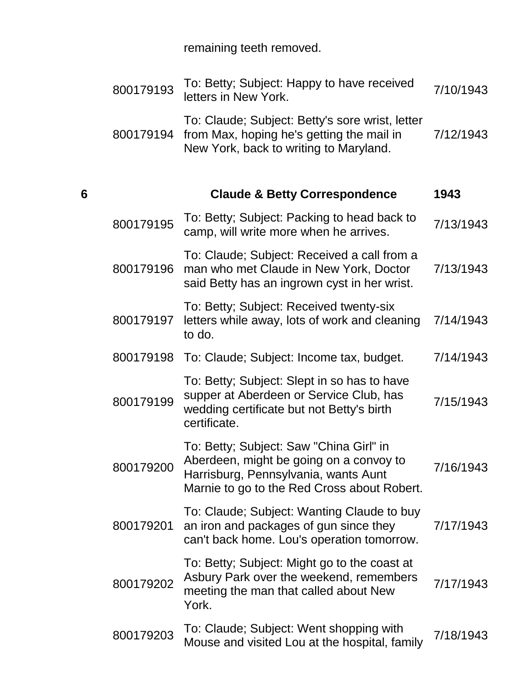remaining teeth removed.

|   | 800179193 | To: Betty; Subject: Happy to have received<br>letters in New York.                                                                                                        | 7/10/1943 |
|---|-----------|---------------------------------------------------------------------------------------------------------------------------------------------------------------------------|-----------|
|   | 800179194 | To: Claude; Subject: Betty's sore wrist, letter<br>from Max, hoping he's getting the mail in<br>New York, back to writing to Maryland.                                    | 7/12/1943 |
| 6 |           | <b>Claude &amp; Betty Correspondence</b>                                                                                                                                  | 1943      |
|   | 800179195 | To: Betty; Subject: Packing to head back to<br>camp, will write more when he arrives.                                                                                     | 7/13/1943 |
|   | 800179196 | To: Claude; Subject: Received a call from a<br>man who met Claude in New York, Doctor<br>said Betty has an ingrown cyst in her wrist.                                     | 7/13/1943 |
|   | 800179197 | To: Betty; Subject: Received twenty-six<br>letters while away, lots of work and cleaning<br>to do.                                                                        | 7/14/1943 |
|   | 800179198 | To: Claude; Subject: Income tax, budget.                                                                                                                                  | 7/14/1943 |
|   | 800179199 | To: Betty; Subject: Slept in so has to have<br>supper at Aberdeen or Service Club, has<br>wedding certificate but not Betty's birth<br>certificate.                       | 7/15/1943 |
|   | 800179200 | To: Betty; Subject: Saw "China Girl" in<br>Aberdeen, might be going on a convoy to<br>Harrisburg, Pennsylvania, wants Aunt<br>Marnie to go to the Red Cross about Robert. | 7/16/1943 |
|   | 800179201 | To: Claude; Subject: Wanting Claude to buy<br>an iron and packages of gun since they<br>can't back home. Lou's operation tomorrow.                                        | 7/17/1943 |
|   | 800179202 | To: Betty; Subject: Might go to the coast at<br>Asbury Park over the weekend, remembers<br>meeting the man that called about New<br>York.                                 | 7/17/1943 |
|   | 800179203 | To: Claude; Subject: Went shopping with<br>Mouse and visited Lou at the hospital, family                                                                                  | 7/18/1943 |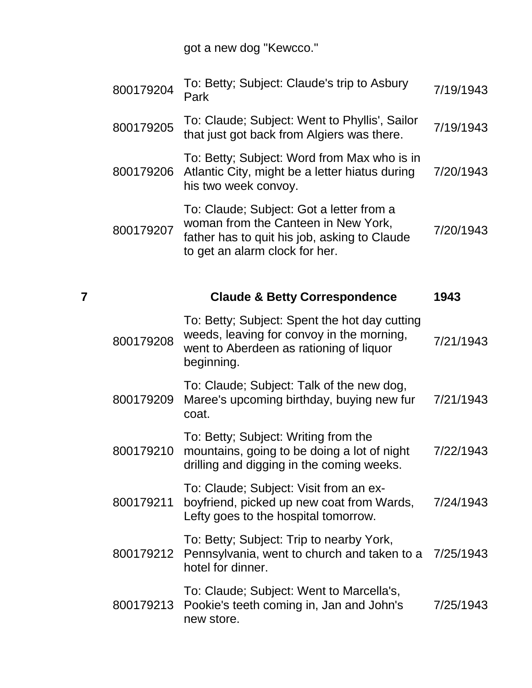got a new dog "Kewcco."

|   | 800179204 | To: Betty; Subject: Claude's trip to Asbury<br>Park                                                                                                               | 7/19/1943 |
|---|-----------|-------------------------------------------------------------------------------------------------------------------------------------------------------------------|-----------|
|   | 800179205 | To: Claude; Subject: Went to Phyllis', Sailor<br>that just got back from Algiers was there.                                                                       | 7/19/1943 |
|   | 800179206 | To: Betty; Subject: Word from Max who is in<br>Atlantic City, might be a letter hiatus during<br>his two week convoy.                                             | 7/20/1943 |
|   | 800179207 | To: Claude; Subject: Got a letter from a<br>woman from the Canteen in New York,<br>father has to quit his job, asking to Claude<br>to get an alarm clock for her. | 7/20/1943 |
| 7 |           | <b>Claude &amp; Betty Correspondence</b>                                                                                                                          | 1943      |
|   | 800179208 | To: Betty; Subject: Spent the hot day cutting<br>weeds, leaving for convoy in the morning,<br>went to Aberdeen as rationing of liquor<br>beginning.               | 7/21/1943 |
|   | 800179209 | To: Claude; Subject: Talk of the new dog,<br>Maree's upcoming birthday, buying new fur<br>coat.                                                                   | 7/21/1943 |
|   | 800179210 | To: Betty; Subject: Writing from the<br>mountains, going to be doing a lot of night<br>drilling and digging in the coming weeks.                                  | 7/22/1943 |
|   | 800179211 | To: Claude; Subject: Visit from an ex-<br>boyfriend, picked up new coat from Wards,<br>Lefty goes to the hospital tomorrow.                                       | 7/24/1943 |
|   | 800179212 | To: Betty; Subject: Trip to nearby York,<br>Pennsylvania, went to church and taken to a<br>hotel for dinner.                                                      | 7/25/1943 |
|   |           | To: Claude; Subject: Went to Marcella's,                                                                                                                          |           |

800179213 Pookie's teeth coming in, Jan and John's 7/25/1943new store.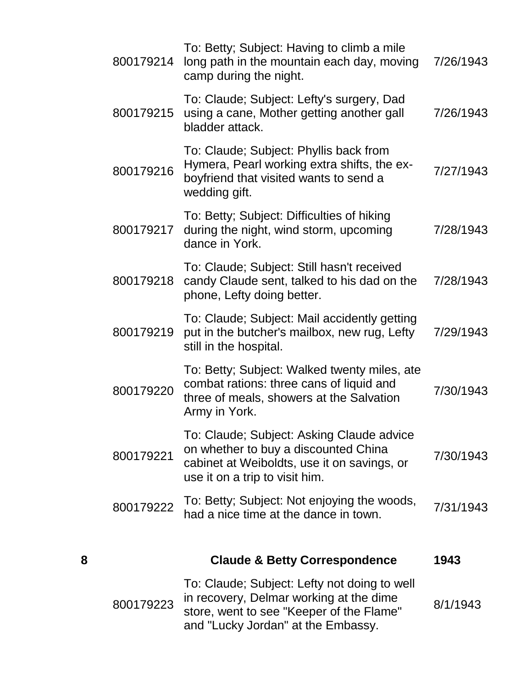|   | 800179214 | To: Betty; Subject: Having to climb a mile<br>long path in the mountain each day, moving<br>camp during the night.                                                        | 7/26/1943 |
|---|-----------|---------------------------------------------------------------------------------------------------------------------------------------------------------------------------|-----------|
|   | 800179215 | To: Claude; Subject: Lefty's surgery, Dad<br>using a cane, Mother getting another gall<br>bladder attack.                                                                 | 7/26/1943 |
|   | 800179216 | To: Claude; Subject: Phyllis back from<br>Hymera, Pearl working extra shifts, the ex-<br>boyfriend that visited wants to send a<br>wedding gift.                          | 7/27/1943 |
|   | 800179217 | To: Betty; Subject: Difficulties of hiking<br>during the night, wind storm, upcoming<br>dance in York.                                                                    | 7/28/1943 |
|   | 800179218 | To: Claude; Subject: Still hasn't received<br>candy Claude sent, talked to his dad on the<br>phone, Lefty doing better.                                                   | 7/28/1943 |
|   | 800179219 | To: Claude; Subject: Mail accidently getting<br>put in the butcher's mailbox, new rug, Lefty<br>still in the hospital.                                                    | 7/29/1943 |
|   | 800179220 | To: Betty; Subject: Walked twenty miles, ate<br>combat rations: three cans of liquid and<br>three of meals, showers at the Salvation<br>Army in York.                     | 7/30/1943 |
|   | 800179221 | To: Claude; Subject: Asking Claude advice<br>on whether to buy a discounted China<br>cabinet at Weiboldts, use it on savings, or<br>use it on a trip to visit him.        | 7/30/1943 |
|   | 800179222 | To: Betty; Subject: Not enjoying the woods,<br>had a nice time at the dance in town.                                                                                      | 7/31/1943 |
| 8 |           | <b>Claude &amp; Betty Correspondence</b>                                                                                                                                  | 1943      |
|   | 800179223 | To: Claude; Subject: Lefty not doing to well<br>in recovery, Delmar working at the dime<br>store, went to see "Keeper of the Flame"<br>and "Lucky Jordan" at the Embassy. | 8/1/1943  |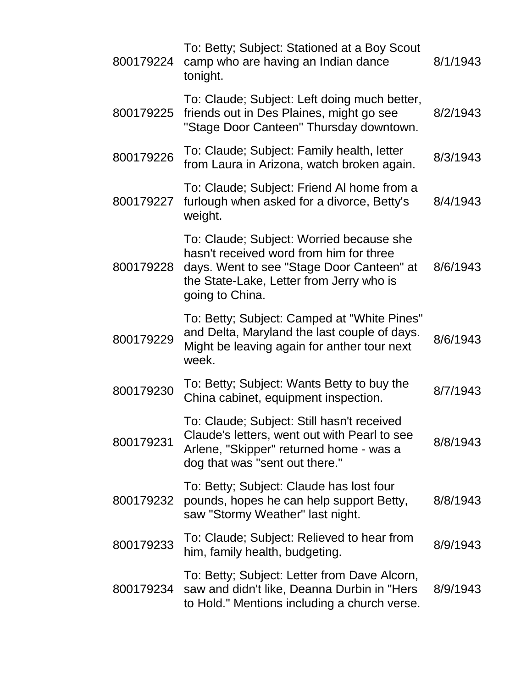| 800179224 | To: Betty; Subject: Stationed at a Boy Scout<br>camp who are having an Indian dance<br>tonight.                                                                                                 | 8/1/1943 |
|-----------|-------------------------------------------------------------------------------------------------------------------------------------------------------------------------------------------------|----------|
| 800179225 | To: Claude; Subject: Left doing much better,<br>friends out in Des Plaines, might go see<br>"Stage Door Canteen" Thursday downtown.                                                             | 8/2/1943 |
| 800179226 | To: Claude; Subject: Family health, letter<br>from Laura in Arizona, watch broken again.                                                                                                        | 8/3/1943 |
| 800179227 | To: Claude; Subject: Friend AI home from a<br>furlough when asked for a divorce, Betty's<br>weight.                                                                                             | 8/4/1943 |
| 800179228 | To: Claude; Subject: Worried because she<br>hasn't received word from him for three<br>days. Went to see "Stage Door Canteen" at<br>the State-Lake, Letter from Jerry who is<br>going to China. | 8/6/1943 |
| 800179229 | To: Betty; Subject: Camped at "White Pines"<br>and Delta, Maryland the last couple of days.<br>Might be leaving again for anther tour next<br>week.                                             | 8/6/1943 |
| 800179230 | To: Betty; Subject: Wants Betty to buy the<br>China cabinet, equipment inspection.                                                                                                              | 8/7/1943 |
| 800179231 | To: Claude; Subject: Still hasn't received<br>Claude's letters, went out with Pearl to see<br>Arlene, "Skipper" returned home - was a<br>dog that was "sent out there."                         | 8/8/1943 |
| 800179232 | To: Betty; Subject: Claude has lost four<br>pounds, hopes he can help support Betty,<br>saw "Stormy Weather" last night.                                                                        | 8/8/1943 |
| 800179233 | To: Claude; Subject: Relieved to hear from<br>him, family health, budgeting.                                                                                                                    | 8/9/1943 |
| 800179234 | To: Betty; Subject: Letter from Dave Alcorn,<br>saw and didn't like, Deanna Durbin in "Hers"<br>to Hold." Mentions including a church verse.                                                    | 8/9/1943 |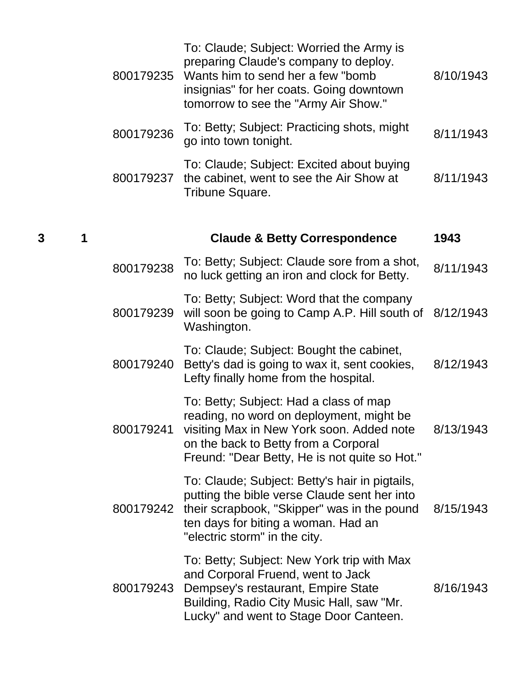|   |   | 800179235 | To: Claude; Subject: Worried the Army is<br>preparing Claude's company to deploy.<br>Wants him to send her a few "bomb"<br>insignias" for her coats. Going downtown<br>tomorrow to see the "Army Air Show."                        | 8/10/1943 |
|---|---|-----------|------------------------------------------------------------------------------------------------------------------------------------------------------------------------------------------------------------------------------------|-----------|
|   |   | 800179236 | To: Betty; Subject: Practicing shots, might<br>go into town tonight.                                                                                                                                                               | 8/11/1943 |
|   |   | 800179237 | To: Claude; Subject: Excited about buying<br>the cabinet, went to see the Air Show at<br>Tribune Square.                                                                                                                           | 8/11/1943 |
| 3 | 1 |           | <b>Claude &amp; Betty Correspondence</b>                                                                                                                                                                                           | 1943      |
|   |   | 800179238 | To: Betty; Subject: Claude sore from a shot,<br>no luck getting an iron and clock for Betty.                                                                                                                                       | 8/11/1943 |
|   |   | 800179239 | To: Betty; Subject: Word that the company<br>will soon be going to Camp A.P. Hill south of<br>Washington.                                                                                                                          | 8/12/1943 |
|   |   | 800179240 | To: Claude; Subject: Bought the cabinet,<br>Betty's dad is going to wax it, sent cookies,<br>Lefty finally home from the hospital.                                                                                                 | 8/12/1943 |
|   |   |           | To: Betty; Subject: Had a class of map<br>reading, no word on deployment, might be<br>800179241 visiting Max in New York soon. Added note<br>on the back to Betty from a Corporal<br>Freund: "Dear Betty, He is not quite so Hot." | 8/13/1943 |
|   |   | 800179242 | To: Claude; Subject: Betty's hair in pigtails,<br>putting the bible verse Claude sent her into<br>their scrapbook, "Skipper" was in the pound<br>ten days for biting a woman. Had an<br>"electric storm" in the city.              | 8/15/1943 |
|   |   | 800179243 | To: Betty; Subject: New York trip with Max<br>and Corporal Fruend, went to Jack<br>Dempsey's restaurant, Empire State<br>Building, Radio City Music Hall, saw "Mr.<br>Lucky" and went to Stage Door Canteen.                       | 8/16/1943 |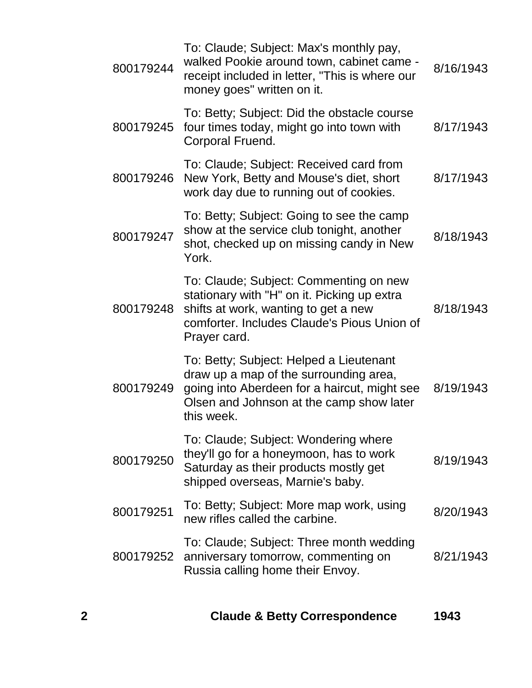| 800179244 | To: Claude; Subject: Max's monthly pay,<br>walked Pookie around town, cabinet came -<br>receipt included in letter, "This is where our<br>money goes" written on it.                         | 8/16/1943 |
|-----------|----------------------------------------------------------------------------------------------------------------------------------------------------------------------------------------------|-----------|
| 800179245 | To: Betty; Subject: Did the obstacle course<br>four times today, might go into town with<br>Corporal Fruend.                                                                                 | 8/17/1943 |
| 800179246 | To: Claude; Subject: Received card from<br>New York, Betty and Mouse's diet, short<br>work day due to running out of cookies.                                                                | 8/17/1943 |
| 800179247 | To: Betty; Subject: Going to see the camp<br>show at the service club tonight, another<br>shot, checked up on missing candy in New<br>York.                                                  | 8/18/1943 |
| 800179248 | To: Claude; Subject: Commenting on new<br>stationary with "H" on it. Picking up extra<br>shifts at work, wanting to get a new<br>comforter. Includes Claude's Pious Union of<br>Prayer card. | 8/18/1943 |
| 800179249 | To: Betty; Subject: Helped a Lieutenant<br>draw up a map of the surrounding area,<br>going into Aberdeen for a haircut, might see<br>Olsen and Johnson at the camp show later<br>this week.  | 8/19/1943 |
| 800179250 | To: Claude; Subject: Wondering where<br>they'll go for a honeymoon, has to work<br>Saturday as their products mostly get<br>shipped overseas, Marnie's baby.                                 | 8/19/1943 |
| 800179251 | To: Betty; Subject: More map work, using<br>new rifles called the carbine.                                                                                                                   | 8/20/1943 |
| 800179252 | To: Claude; Subject: Three month wedding<br>anniversary tomorrow, commenting on<br>Russia calling home their Envoy.                                                                          | 8/21/1943 |
|           |                                                                                                                                                                                              |           |

**2 Claude & Betty Correspondence 1943**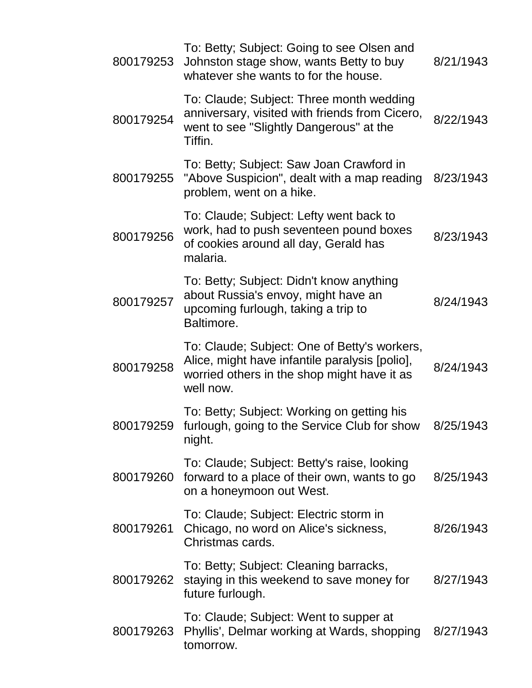| 800179253 | To: Betty; Subject: Going to see Olsen and<br>Johnston stage show, wants Betty to buy<br>whatever she wants to for the house.                              | 8/21/1943 |
|-----------|------------------------------------------------------------------------------------------------------------------------------------------------------------|-----------|
| 800179254 | To: Claude; Subject: Three month wedding<br>anniversary, visited with friends from Cicero,<br>went to see "Slightly Dangerous" at the<br>Tiffin.           | 8/22/1943 |
| 800179255 | To: Betty; Subject: Saw Joan Crawford in<br>"Above Suspicion", dealt with a map reading<br>problem, went on a hike.                                        | 8/23/1943 |
| 800179256 | To: Claude; Subject: Lefty went back to<br>work, had to push seventeen pound boxes<br>of cookies around all day, Gerald has<br>malaria.                    | 8/23/1943 |
| 800179257 | To: Betty; Subject: Didn't know anything<br>about Russia's envoy, might have an<br>upcoming furlough, taking a trip to<br>Baltimore.                       | 8/24/1943 |
| 800179258 | To: Claude; Subject: One of Betty's workers,<br>Alice, might have infantile paralysis [polio],<br>worried others in the shop might have it as<br>well now. | 8/24/1943 |
| 800179259 | To: Betty; Subject: Working on getting his<br>furlough, going to the Service Club for show<br>night.                                                       | 8/25/1943 |
| 800179260 | To: Claude; Subject: Betty's raise, looking<br>forward to a place of their own, wants to go<br>on a honeymoon out West.                                    | 8/25/1943 |
| 800179261 | To: Claude; Subject: Electric storm in<br>Chicago, no word on Alice's sickness,<br>Christmas cards.                                                        | 8/26/1943 |
| 800179262 | To: Betty; Subject: Cleaning barracks,<br>staying in this weekend to save money for<br>future furlough.                                                    | 8/27/1943 |
| 800179263 | To: Claude; Subject: Went to supper at<br>Phyllis', Delmar working at Wards, shopping<br>tomorrow.                                                         | 8/27/1943 |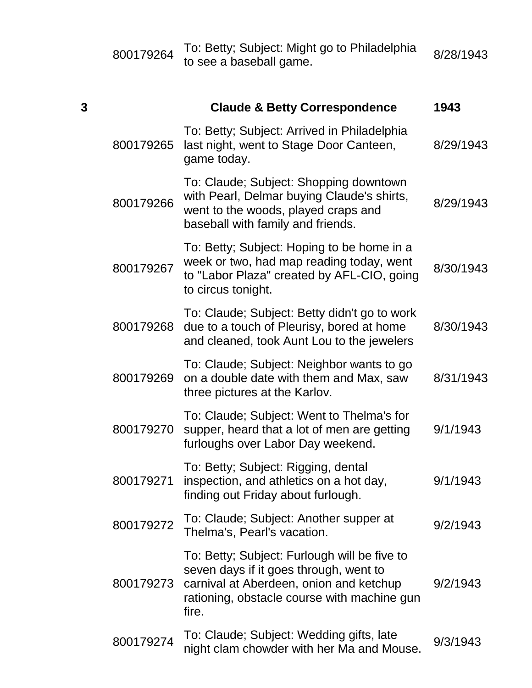|   | 800179264 | To: Betty; Subject: Might go to Philadelphia<br>to see a baseball game.                                                                                                                   | 8/28/1943 |
|---|-----------|-------------------------------------------------------------------------------------------------------------------------------------------------------------------------------------------|-----------|
| 3 |           | <b>Claude &amp; Betty Correspondence</b>                                                                                                                                                  | 1943      |
|   | 800179265 | To: Betty; Subject: Arrived in Philadelphia<br>last night, went to Stage Door Canteen,<br>game today.                                                                                     | 8/29/1943 |
|   | 800179266 | To: Claude; Subject: Shopping downtown<br>with Pearl, Delmar buying Claude's shirts,<br>went to the woods, played craps and<br>baseball with family and friends.                          | 8/29/1943 |
|   | 800179267 | To: Betty; Subject: Hoping to be home in a<br>week or two, had map reading today, went<br>to "Labor Plaza" created by AFL-CIO, going<br>to circus tonight.                                | 8/30/1943 |
|   | 800179268 | To: Claude; Subject: Betty didn't go to work<br>due to a touch of Pleurisy, bored at home<br>and cleaned, took Aunt Lou to the jewelers                                                   | 8/30/1943 |
|   | 800179269 | To: Claude; Subject: Neighbor wants to go<br>on a double date with them and Max, saw<br>three pictures at the Karlov.                                                                     | 8/31/1943 |
|   | 800179270 | To: Claude; Subject: Went to Thelma's for<br>supper, heard that a lot of men are getting<br>furloughs over Labor Day weekend.                                                             | 9/1/1943  |
|   | 800179271 | To: Betty; Subject: Rigging, dental<br>inspection, and athletics on a hot day,<br>finding out Friday about furlough.                                                                      | 9/1/1943  |
|   | 800179272 | To: Claude; Subject: Another supper at<br>Thelma's, Pearl's vacation.                                                                                                                     | 9/2/1943  |
|   | 800179273 | To: Betty; Subject: Furlough will be five to<br>seven days if it goes through, went to<br>carnival at Aberdeen, onion and ketchup<br>rationing, obstacle course with machine gun<br>fire. | 9/2/1943  |
|   | 800179274 | To: Claude; Subject: Wedding gifts, late<br>night clam chowder with her Ma and Mouse.                                                                                                     | 9/3/1943  |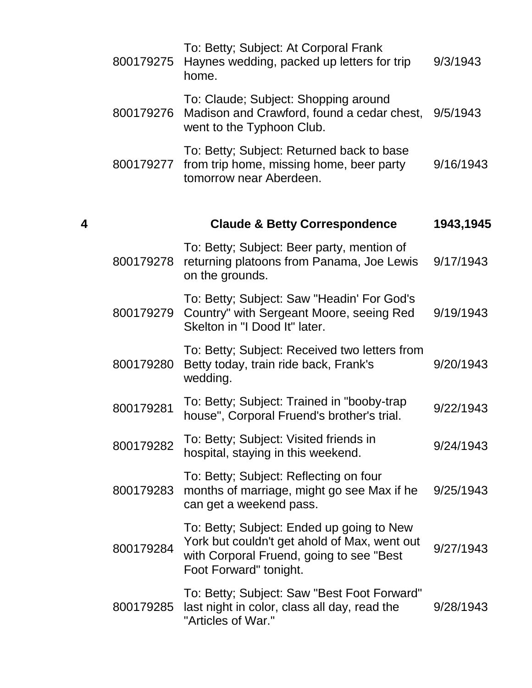|   | 800179275 | To: Betty; Subject: At Corporal Frank<br>Haynes wedding, packed up letters for trip<br>home.                                                                    | 9/3/1943  |
|---|-----------|-----------------------------------------------------------------------------------------------------------------------------------------------------------------|-----------|
|   | 800179276 | To: Claude; Subject: Shopping around<br>Madison and Crawford, found a cedar chest,<br>went to the Typhoon Club.                                                 | 9/5/1943  |
|   | 800179277 | To: Betty; Subject: Returned back to base<br>from trip home, missing home, beer party<br>tomorrow near Aberdeen.                                                | 9/16/1943 |
| 4 |           | <b>Claude &amp; Betty Correspondence</b>                                                                                                                        | 1943,1945 |
|   | 800179278 | To: Betty; Subject: Beer party, mention of<br>returning platoons from Panama, Joe Lewis<br>on the grounds.                                                      | 9/17/1943 |
|   | 800179279 | To: Betty; Subject: Saw "Headin' For God's<br>Country" with Sergeant Moore, seeing Red<br>Skelton in "I Dood It" later.                                         | 9/19/1943 |
|   | 800179280 | To: Betty; Subject: Received two letters from<br>Betty today, train ride back, Frank's<br>wedding.                                                              | 9/20/1943 |
|   | 800179281 | To: Betty; Subject: Trained in "booby-trap<br>house", Corporal Fruend's brother's trial.                                                                        | 9/22/1943 |
|   | 800179282 | To: Betty; Subject: Visited friends in<br>hospital, staying in this weekend.                                                                                    | 9/24/1943 |
|   | 800179283 | To: Betty; Subject: Reflecting on four<br>months of marriage, might go see Max if he<br>can get a weekend pass.                                                 | 9/25/1943 |
|   | 800179284 | To: Betty; Subject: Ended up going to New<br>York but couldn't get ahold of Max, went out<br>with Corporal Fruend, going to see "Best<br>Foot Forward" tonight. | 9/27/1943 |
|   | 800179285 | To: Betty; Subject: Saw "Best Foot Forward"<br>last night in color, class all day, read the<br>"Articles of War."                                               | 9/28/1943 |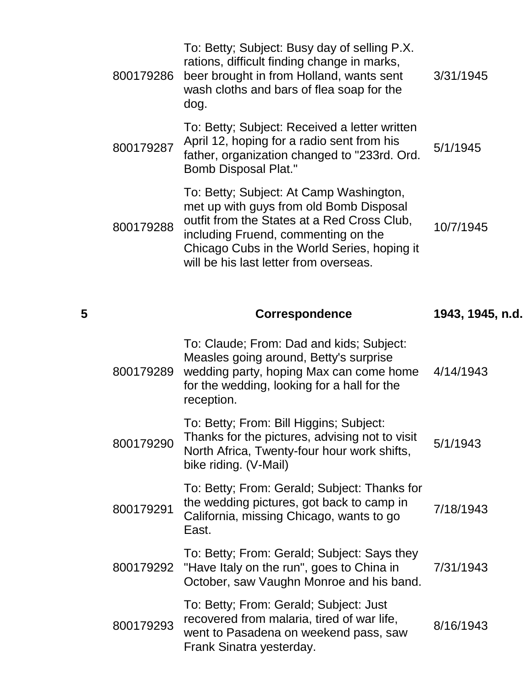| 800179286 | To: Betty; Subject: Busy day of selling P.X.<br>rations, difficult finding change in marks,<br>beer brought in from Holland, wants sent<br>wash cloths and bars of flea soap for the<br>dog.                                                                      | 3/31/1945 |
|-----------|-------------------------------------------------------------------------------------------------------------------------------------------------------------------------------------------------------------------------------------------------------------------|-----------|
| 800179287 | To: Betty; Subject: Received a letter written<br>April 12, hoping for a radio sent from his<br>father, organization changed to "233rd. Ord.<br><b>Bomb Disposal Plat."</b>                                                                                        | 5/1/1945  |
| 800179288 | To: Betty; Subject: At Camp Washington,<br>met up with guys from old Bomb Disposal<br>outfit from the States at a Red Cross Club,<br>including Fruend, commenting on the<br>Chicago Cubs in the World Series, hoping it<br>will be his last letter from overseas. | 10/7/1945 |

**5 Correspondence 1943, 1945, n.d.**

| 800179289 | To: Claude; From: Dad and kids; Subject:<br>Measles going around, Betty's surprise<br>wedding party, hoping Max can come home<br>for the wedding, looking for a hall for the<br>reception. | 4/14/1943 |
|-----------|--------------------------------------------------------------------------------------------------------------------------------------------------------------------------------------------|-----------|
| 800179290 | To: Betty; From: Bill Higgins; Subject:<br>Thanks for the pictures, advising not to visit<br>North Africa, Twenty-four hour work shifts,<br>bike riding. (V-Mail)                          | 5/1/1943  |
| 800179291 | To: Betty; From: Gerald; Subject: Thanks for<br>the wedding pictures, got back to camp in<br>California, missing Chicago, wants to go<br>East.                                             | 7/18/1943 |
| 800179292 | To: Betty; From: Gerald; Subject: Says they<br>"Have Italy on the run", goes to China in<br>October, saw Vaughn Monroe and his band.                                                       | 7/31/1943 |
| 800179293 | To: Betty; From: Gerald; Subject: Just<br>recovered from malaria, tired of war life,<br>went to Pasadena on weekend pass, saw<br>Frank Sinatra yesterday.                                  | 8/16/1943 |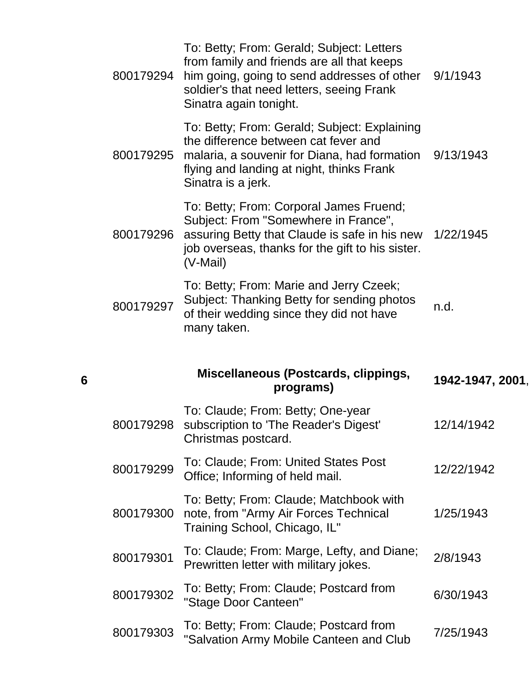| 800179298 | To: Claude; From: Betty; One-year<br>subscription to 'The Reader's Digest'                                                                                                                                    | 12/14/1942       |
|-----------|---------------------------------------------------------------------------------------------------------------------------------------------------------------------------------------------------------------|------------------|
|           | Miscellaneous (Postcards, clippings,<br>programs)                                                                                                                                                             | 1942-1947, 2001, |
| 800179297 | To: Betty; From: Marie and Jerry Czeek;<br>Subject: Thanking Betty for sending photos<br>of their wedding since they did not have<br>many taken.                                                              | n.d.             |
| 800179296 | To: Betty; From: Corporal James Fruend;<br>Subject: From "Somewhere in France",<br>assuring Betty that Claude is safe in his new<br>job overseas, thanks for the gift to his sister.<br>(V-Mail)              | 1/22/1945        |
| 800179295 | To: Betty; From: Gerald; Subject: Explaining<br>the difference between cat fever and<br>malaria, a souvenir for Diana, had formation<br>flying and landing at night, thinks Frank<br>Sinatra is a jerk.       | 9/13/1943        |
| 800179294 | To: Betty; From: Gerald; Subject: Letters<br>from family and friends are all that keeps<br>him going, going to send addresses of other<br>soldier's that need letters, seeing Frank<br>Sinatra again tonight. | 9/1/1943         |

| 800179299 | To: Claude; From: United States Post<br>Office; Informing of held mail.                                                     | 12/22/1942 |
|-----------|-----------------------------------------------------------------------------------------------------------------------------|------------|
|           | To: Betty; From: Claude; Matchbook with<br>800179300 note, from "Army Air Forces Technical<br>Training School, Chicago, IL" | 1/25/1943  |
| 800179301 | To: Claude; From: Marge, Lefty, and Diane;<br>Prewritten letter with military jokes.                                        | 2/8/1943   |
| 800179302 | To: Betty; From: Claude; Postcard from<br>"Stage Door Canteen"                                                              | 6/30/1943  |

Christmas postcard.

**6**

800179303 To: Betty; From: Claude; Postcard from To. Betty, From. Gladde, Fostcard Home 7/25/1943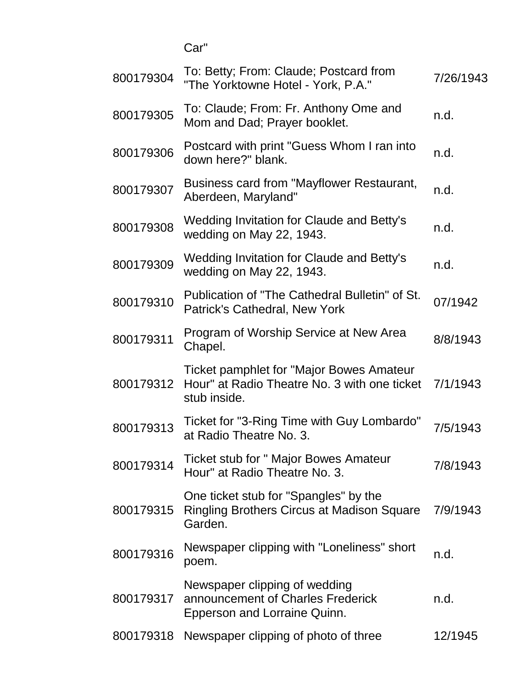Car"

| 800179304 | To: Betty; From: Claude; Postcard from<br>"The Yorktowne Hotel - York, P.A."                             | 7/26/1943 |
|-----------|----------------------------------------------------------------------------------------------------------|-----------|
| 800179305 | To: Claude; From: Fr. Anthony Ome and<br>Mom and Dad; Prayer booklet.                                    | n.d.      |
| 800179306 | Postcard with print "Guess Whom I ran into<br>down here?" blank.                                         | n.d.      |
| 800179307 | Business card from "Mayflower Restaurant,<br>Aberdeen, Maryland"                                         | n.d.      |
| 800179308 | Wedding Invitation for Claude and Betty's<br>wedding on May 22, 1943.                                    | n.d.      |
| 800179309 | Wedding Invitation for Claude and Betty's<br>wedding on May 22, 1943.                                    | n.d.      |
| 800179310 | Publication of "The Cathedral Bulletin" of St.<br>Patrick's Cathedral, New York                          | 07/1942   |
| 800179311 | Program of Worship Service at New Area<br>Chapel.                                                        | 8/8/1943  |
| 800179312 | Ticket pamphlet for "Major Bowes Amateur<br>Hour" at Radio Theatre No. 3 with one ticket<br>stub inside. | 7/1/1943  |
| 800179313 | Ticket for "3-Ring Time with Guy Lombardo"<br>at Radio Theatre No. 3.                                    | 7/5/1943  |
| 800179314 | Ticket stub for " Major Bowes Amateur<br>Hour" at Radio Theatre No. 3.                                   | 7/8/1943  |
| 800179315 | One ticket stub for "Spangles" by the<br><b>Ringling Brothers Circus at Madison Square</b><br>Garden.    | 7/9/1943  |
| 800179316 | Newspaper clipping with "Loneliness" short<br>poem.                                                      | n.d.      |
| 800179317 | Newspaper clipping of wedding<br>announcement of Charles Frederick<br>Epperson and Lorraine Quinn.       | n.d.      |
| 800179318 | Newspaper clipping of photo of three                                                                     | 12/1945   |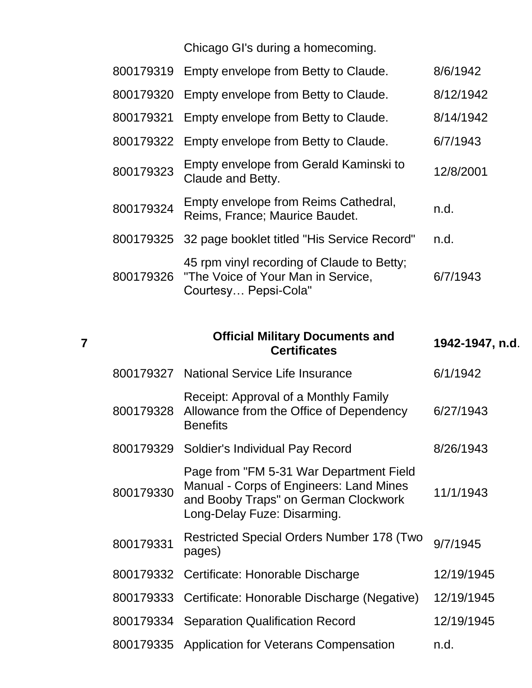Chicago GI's during a homecoming.

|           | 800179319 Empty envelope from Betty to Claude.                                                                     | 8/6/1942  |
|-----------|--------------------------------------------------------------------------------------------------------------------|-----------|
|           | 800179320 Empty envelope from Betty to Claude.                                                                     | 8/12/1942 |
|           | 800179321 Empty envelope from Betty to Claude.                                                                     | 8/14/1942 |
|           | 800179322 Empty envelope from Betty to Claude.                                                                     | 6/7/1943  |
| 800179323 | Empty envelope from Gerald Kaminski to<br>Claude and Betty.                                                        | 12/8/2001 |
| 800179324 | Empty envelope from Reims Cathedral,<br>Reims, France; Maurice Baudet.                                             | n.d.      |
|           | 800179325 32 page booklet titled "His Service Record"                                                              | n.d.      |
|           | 45 rpm vinyl recording of Claude to Betty;<br>800179326 "The Voice of Your Man in Service,<br>Courtesy Pepsi-Cola" | 6/7/1943  |

**7**

|           | <b>Official Military Documents and</b><br><b>Certificates</b>                                                                                             | 1942-1947, n.d. |
|-----------|-----------------------------------------------------------------------------------------------------------------------------------------------------------|-----------------|
|           | 800179327 National Service Life Insurance                                                                                                                 | 6/1/1942        |
| 800179328 | Receipt: Approval of a Monthly Family<br>Allowance from the Office of Dependency<br><b>Benefits</b>                                                       | 6/27/1943       |
| 800179329 | Soldier's Individual Pay Record                                                                                                                           | 8/26/1943       |
| 800179330 | Page from "FM 5-31 War Department Field<br>Manual - Corps of Engineers: Land Mines<br>and Booby Traps" on German Clockwork<br>Long-Delay Fuze: Disarming. | 11/1/1943       |
| 800179331 | <b>Restricted Special Orders Number 178 (Two</b><br>pages)                                                                                                | 9/7/1945        |
|           | 800179332 Certificate: Honorable Discharge                                                                                                                | 12/19/1945      |
|           | 800179333 Certificate: Honorable Discharge (Negative)                                                                                                     | 12/19/1945      |
|           | 800179334 Separation Qualification Record                                                                                                                 | 12/19/1945      |
|           | 800179335 Application for Veterans Compensation                                                                                                           | n.d.            |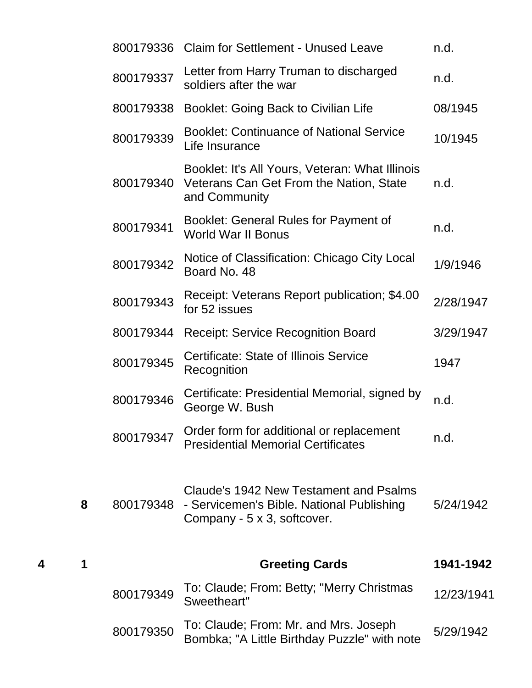|           | 800179336 Claim for Settlement - Unused Leave                                                                      | n.d.       |
|-----------|--------------------------------------------------------------------------------------------------------------------|------------|
| 800179337 | Letter from Harry Truman to discharged<br>soldiers after the war                                                   | n.d.       |
| 800179338 | Booklet: Going Back to Civilian Life                                                                               | 08/1945    |
| 800179339 | <b>Booklet: Continuance of National Service</b><br>Life Insurance                                                  | 10/1945    |
| 800179340 | Booklet: It's All Yours, Veteran: What Illinois<br>Veterans Can Get From the Nation, State<br>and Community        | n.d.       |
| 800179341 | Booklet: General Rules for Payment of<br><b>World War II Bonus</b>                                                 | n.d.       |
| 800179342 | Notice of Classification: Chicago City Local<br>Board No. 48                                                       | 1/9/1946   |
| 800179343 | Receipt: Veterans Report publication; \$4.00<br>for 52 issues                                                      | 2/28/1947  |
| 800179344 | <b>Receipt: Service Recognition Board</b>                                                                          | 3/29/1947  |
| 800179345 | <b>Certificate: State of Illinois Service</b><br>Recognition                                                       | 1947       |
| 800179346 | Certificate: Presidential Memorial, signed by<br>George W. Bush                                                    | n.d.       |
| 800179347 | Order form for additional or replacement<br><b>Presidential Memorial Certificates</b>                              | n.d.       |
| 800179348 | Claude's 1942 New Testament and Psalms<br>- Servicemen's Bible. National Publishing<br>Company - 5 x 3, softcover. | 5/24/1942  |
|           | <b>Greeting Cards</b>                                                                                              | 1941-1942  |
| 800179349 | To: Claude; From: Betty; "Merry Christmas<br>Sweetheart"                                                           | 12/23/1941 |
| 800179350 | To: Claude; From: Mr. and Mrs. Joseph<br>Bombka; "A Little Birthday Puzzle" with note                              | 5/29/1942  |

**8** 800179348

**4 1 Greeting Cards 1941-1942**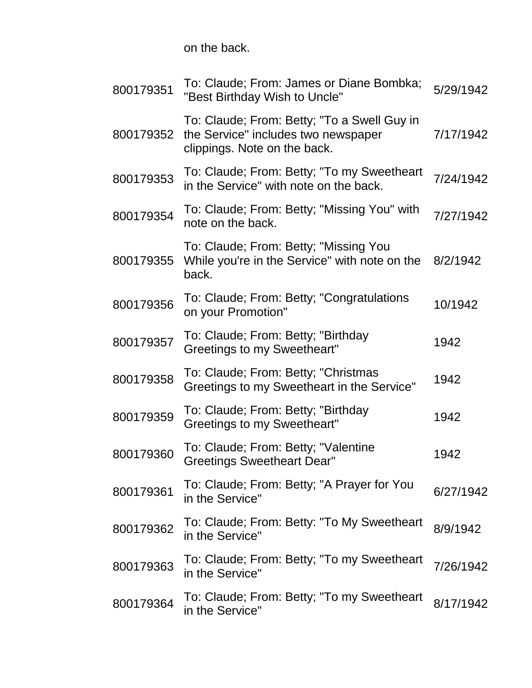on the back.

| 800179351 | To: Claude; From: James or Diane Bombka;<br>"Best Birthday Wish to Uncle"                                          | 5/29/1942 |
|-----------|--------------------------------------------------------------------------------------------------------------------|-----------|
| 800179352 | To: Claude; From: Betty; "To a Swell Guy in<br>the Service" includes two newspaper<br>clippings. Note on the back. | 7/17/1942 |
| 800179353 | To: Claude; From: Betty; "To my Sweetheart<br>in the Service" with note on the back.                               | 7/24/1942 |
| 800179354 | To: Claude; From: Betty; "Missing You" with<br>note on the back.                                                   | 7/27/1942 |
| 800179355 | To: Claude; From: Betty; "Missing You<br>While you're in the Service" with note on the<br>back.                    | 8/2/1942  |
| 800179356 | To: Claude; From: Betty; "Congratulations<br>on your Promotion"                                                    | 10/1942   |
| 800179357 | To: Claude; From: Betty; "Birthday<br><b>Greetings to my Sweetheart"</b>                                           | 1942      |
| 800179358 | To: Claude; From: Betty; "Christmas<br>Greetings to my Sweetheart in the Service"                                  | 1942      |
| 800179359 | To: Claude; From: Betty; "Birthday<br>Greetings to my Sweetheart"                                                  | 1942      |
| 800179360 | To: Claude; From: Betty; "Valentine<br><b>Greetings Sweetheart Dear"</b>                                           | 1942      |
| 800179361 | To: Claude; From: Betty; "A Prayer for You<br>in the Service"                                                      | 6/27/1942 |
| 800179362 | To: Claude; From: Betty: "To My Sweetheart<br>in the Service"                                                      | 8/9/1942  |
| 800179363 | To: Claude; From: Betty; "To my Sweetheart<br>in the Service"                                                      | 7/26/1942 |
| 800179364 | To: Claude; From: Betty; "To my Sweetheart<br>in the Service"                                                      | 8/17/1942 |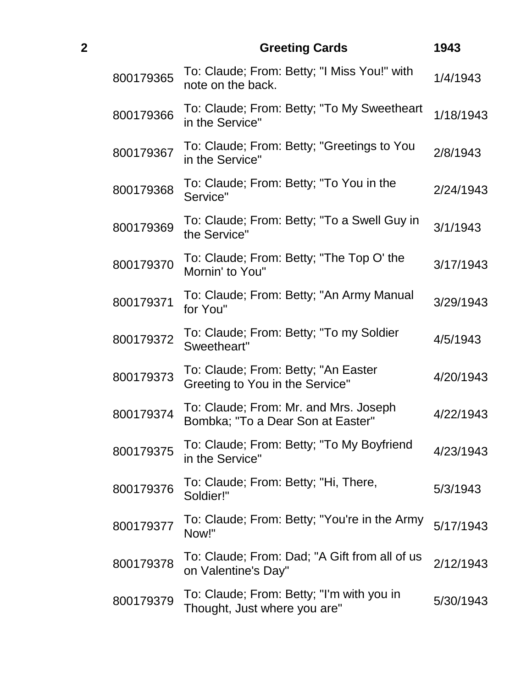| $\overline{2}$ |           | <b>Greeting Cards</b>                                                      | 1943      |
|----------------|-----------|----------------------------------------------------------------------------|-----------|
|                | 800179365 | To: Claude; From: Betty; "I Miss You!" with<br>note on the back.           | 1/4/1943  |
|                | 800179366 | To: Claude; From: Betty; "To My Sweetheart<br>in the Service"              | 1/18/1943 |
|                | 800179367 | To: Claude; From: Betty; "Greetings to You<br>in the Service"              | 2/8/1943  |
|                | 800179368 | To: Claude; From: Betty; "To You in the<br>Service"                        | 2/24/1943 |
|                | 800179369 | To: Claude; From: Betty; "To a Swell Guy in<br>the Service"                | 3/1/1943  |
|                | 800179370 | To: Claude; From: Betty; "The Top O' the<br>Mornin' to You"                | 3/17/1943 |
|                | 800179371 | To: Claude; From: Betty; "An Army Manual<br>for You"                       | 3/29/1943 |
|                | 800179372 | To: Claude; From: Betty; "To my Soldier<br>Sweetheart"                     | 4/5/1943  |
|                | 800179373 | To: Claude; From: Betty; "An Easter<br>Greeting to You in the Service"     | 4/20/1943 |
|                | 800179374 | To: Claude; From: Mr. and Mrs. Joseph<br>Bombka; "To a Dear Son at Easter" | 4/22/1943 |
|                | 800179375 | To: Claude; From: Betty; "To My Boyfriend<br>in the Service"               | 4/23/1943 |
|                | 800179376 | To: Claude; From: Betty; "Hi, There,<br>Soldier!"                          | 5/3/1943  |
|                | 800179377 | To: Claude; From: Betty; "You're in the Army<br>Now!"                      | 5/17/1943 |
|                | 800179378 | To: Claude; From: Dad; "A Gift from all of us<br>on Valentine's Day"       | 2/12/1943 |
|                | 800179379 | To: Claude; From: Betty; "I'm with you in<br>Thought, Just where you are"  | 5/30/1943 |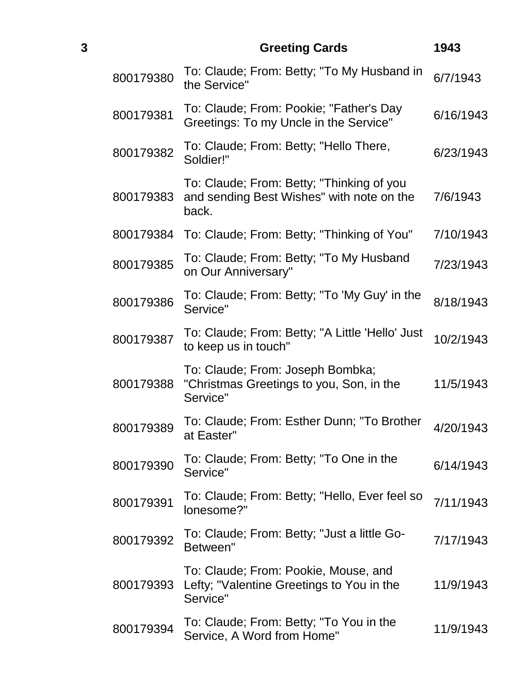| 3 |           | <b>Greeting Cards</b>                                                                           | 1943      |
|---|-----------|-------------------------------------------------------------------------------------------------|-----------|
|   | 800179380 | To: Claude; From: Betty; "To My Husband in<br>the Service"                                      | 6/7/1943  |
|   | 800179381 | To: Claude; From: Pookie; "Father's Day<br>Greetings: To my Uncle in the Service"               | 6/16/1943 |
|   | 800179382 | To: Claude; From: Betty; "Hello There,<br>Soldier!"                                             | 6/23/1943 |
|   | 800179383 | To: Claude; From: Betty; "Thinking of you<br>and sending Best Wishes" with note on the<br>back. | 7/6/1943  |
|   | 800179384 | To: Claude; From: Betty; "Thinking of You"                                                      | 7/10/1943 |
|   | 800179385 | To: Claude; From: Betty; "To My Husband<br>on Our Anniversary"                                  | 7/23/1943 |
|   | 800179386 | To: Claude; From: Betty; "To 'My Guy' in the<br>Service"                                        | 8/18/1943 |
|   | 800179387 | To: Claude; From: Betty; "A Little 'Hello' Just<br>to keep us in touch"                         | 10/2/1943 |
|   | 800179388 | To: Claude; From: Joseph Bombka;<br>"Christmas Greetings to you, Son, in the<br>Service"        | 11/5/1943 |
|   | 800179389 | To: Claude; From: Esther Dunn; "To Brother<br>at Easter"                                        | 4/20/1943 |
|   | 800179390 | To: Claude; From: Betty; "To One in the<br>Service"                                             | 6/14/1943 |
|   | 800179391 | To: Claude; From: Betty; "Hello, Ever feel so<br>lonesome?"                                     | 7/11/1943 |
|   | 800179392 | To: Claude; From: Betty; "Just a little Go-<br>Between"                                         | 7/17/1943 |
|   | 800179393 | To: Claude; From: Pookie, Mouse, and<br>Lefty; "Valentine Greetings to You in the<br>Service"   | 11/9/1943 |
|   | 800179394 | To: Claude; From: Betty; "To You in the<br>Service, A Word from Home"                           | 11/9/1943 |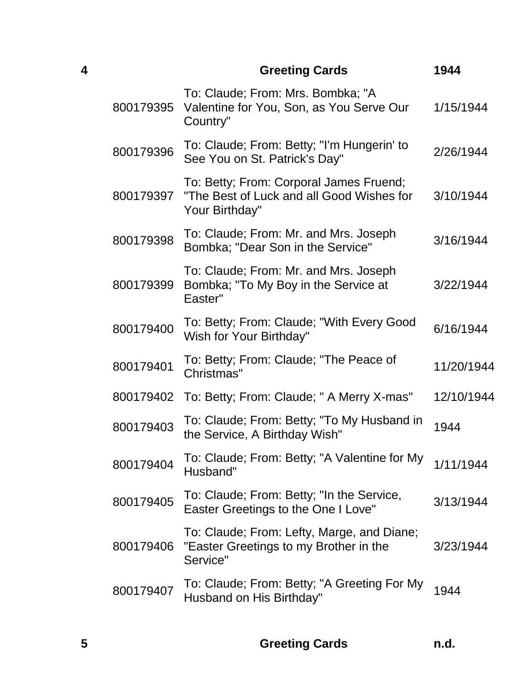| 4 |           | <b>Greeting Cards</b>                                                                                  | 1944       |
|---|-----------|--------------------------------------------------------------------------------------------------------|------------|
|   | 800179395 | To: Claude; From: Mrs. Bombka; "A<br>Valentine for You, Son, as You Serve Our<br>Country"              | 1/15/1944  |
|   | 800179396 | To: Claude; From: Betty; "I'm Hungerin' to<br>See You on St. Patrick's Day"                            | 2/26/1944  |
|   | 800179397 | To: Betty; From: Corporal James Fruend;<br>"The Best of Luck and all Good Wishes for<br>Your Birthday" | 3/10/1944  |
|   | 800179398 | To: Claude; From: Mr. and Mrs. Joseph<br>Bombka; "Dear Son in the Service"                             | 3/16/1944  |
|   | 800179399 | To: Claude; From: Mr. and Mrs. Joseph<br>Bombka; "To My Boy in the Service at<br>Easter"               | 3/22/1944  |
|   | 800179400 | To: Betty; From: Claude; "With Every Good<br>Wish for Your Birthday"                                   | 6/16/1944  |
|   | 800179401 | To: Betty; From: Claude; "The Peace of<br>Christmas"                                                   | 11/20/1944 |
|   | 800179402 | To: Betty; From: Claude; " A Merry X-mas"                                                              | 12/10/1944 |
|   | 800179403 | To: Claude; From: Betty; "To My Husband in<br>the Service, A Birthday Wish"                            | 1944       |
|   | 800179404 | To: Claude; From: Betty; "A Valentine for My<br>Husband"                                               | 1/11/1944  |
|   | 800179405 | To: Claude; From: Betty; "In the Service,<br>Easter Greetings to the One I Love"                       | 3/13/1944  |
|   | 800179406 | To: Claude; From: Lefty, Marge, and Diane;<br>"Easter Greetings to my Brother in the<br>Service"       | 3/23/1944  |
|   | 800179407 | To: Claude; From: Betty; "A Greeting For My<br>Husband on His Birthday"                                | 1944       |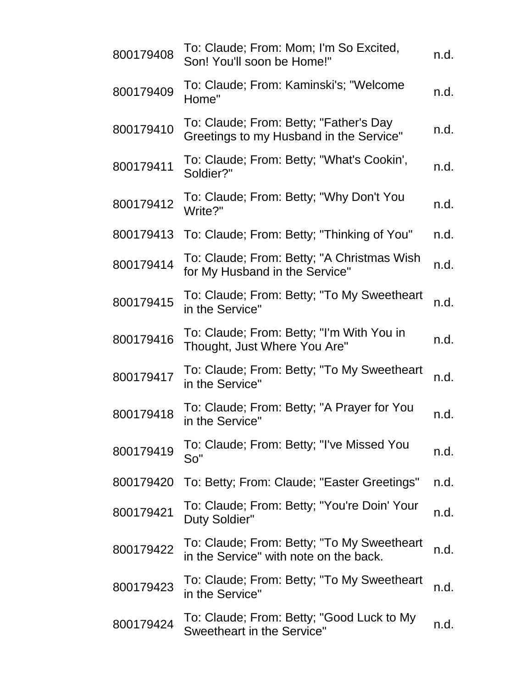| 800179408 | To: Claude; From: Mom; I'm So Excited,<br>Son! You'll soon be Home!"                 | n.d. |
|-----------|--------------------------------------------------------------------------------------|------|
| 800179409 | To: Claude; From: Kaminski's; "Welcome<br>Home"                                      | n.d. |
| 800179410 | To: Claude; From: Betty; "Father's Day<br>Greetings to my Husband in the Service"    | n.d. |
| 800179411 | To: Claude; From: Betty; "What's Cookin',<br>Soldier?"                               | n.d. |
| 800179412 | To: Claude; From: Betty; "Why Don't You<br>Write?"                                   | n.d. |
| 800179413 | To: Claude; From: Betty; "Thinking of You"                                           | n.d. |
| 800179414 | To: Claude; From: Betty; "A Christmas Wish<br>for My Husband in the Service"         | n.d. |
| 800179415 | To: Claude; From: Betty; "To My Sweetheart<br>in the Service"                        | n.d. |
| 800179416 | To: Claude; From: Betty; "I'm With You in<br>Thought, Just Where You Are"            | n.d. |
| 800179417 | To: Claude; From: Betty; "To My Sweetheart<br>in the Service"                        | n.d. |
| 800179418 | To: Claude; From: Betty; "A Prayer for You<br>in the Service"                        | n.d. |
| 800179419 | To: Claude; From: Betty; "I've Missed You<br>So''                                    | n.d. |
| 800179420 | To: Betty; From: Claude; "Easter Greetings"                                          | n.d. |
| 800179421 | To: Claude; From: Betty; "You're Doin' Your<br>Duty Soldier"                         | n.d. |
| 800179422 | To: Claude; From: Betty; "To My Sweetheart<br>in the Service" with note on the back. | n.d. |
| 800179423 | To: Claude; From: Betty; "To My Sweetheart<br>in the Service"                        | n.d. |
| 800179424 | To: Claude; From: Betty; "Good Luck to My<br>Sweetheart in the Service"              | n.d. |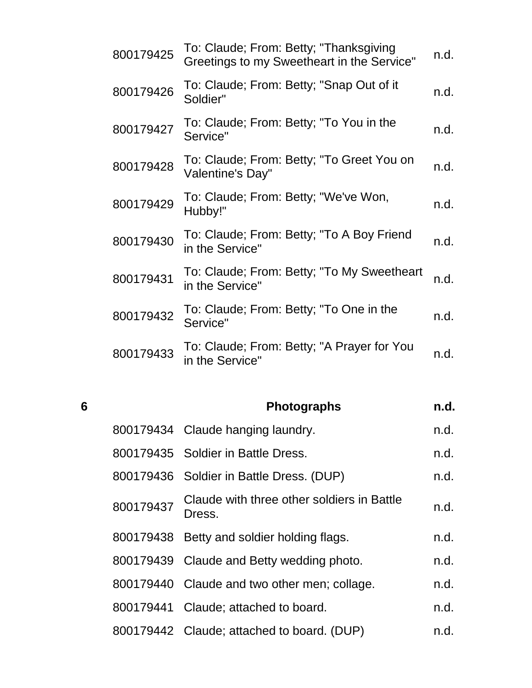| 800179425 | To: Claude; From: Betty; "Thanksgiving<br>Greetings to my Sweetheart in the Service" | n.d. |
|-----------|--------------------------------------------------------------------------------------|------|
| 800179426 | To: Claude; From: Betty; "Snap Out of it<br>Soldier"                                 | n.d. |
| 800179427 | To: Claude; From: Betty; "To You in the<br>Service"                                  | n.d. |
| 800179428 | To: Claude; From: Betty; "To Greet You on<br>Valentine's Day"                        | n.d. |
| 800179429 | To: Claude; From: Betty; "We've Won,<br>Hubby!"                                      | n.d. |
| 800179430 | To: Claude; From: Betty; "To A Boy Friend<br>in the Service"                         | n.d. |
| 800179431 | To: Claude; From: Betty; "To My Sweetheart<br>in the Service"                        | n.d. |
| 800179432 | To: Claude; From: Betty; "To One in the<br>Service"                                  | n.d. |
| 800179433 | To: Claude; From: Betty; "A Prayer for You<br>in the Service"                        | n.d. |

**6 Photographs n.d.** 800179434 Claude hanging laundry. The metal of the metal of the metal of the metal of the metal of the metal o 800179435 Soldier in Battle Dress. 800179436 Soldier in Battle Dress. (DUP) n.d. 800179437 Claude with three other soldiers in Battle Dress. n.d. which differently in Battle h.d. 800179438 Betty and soldier holding flags. The m.d. 800179439 Claude and Betty wedding photo. https://www. 800179440 Claude and two other men; collage. https:// 800179441 Claude; attached to board. The metal of the metal of the metal of the metal of the metal of the metal 800179442 Claude; attached to board. (DUP) n.d.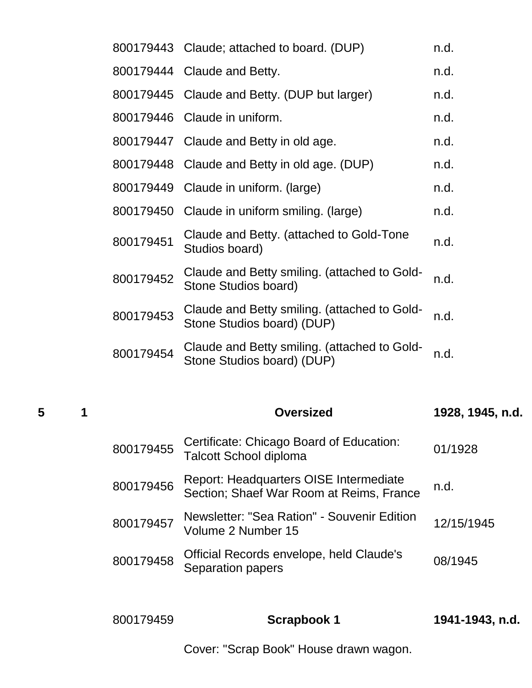|           | 800179443 Claude; attached to board. (DUP)                                 | n.d. |
|-----------|----------------------------------------------------------------------------|------|
|           | 800179444 Claude and Betty.                                                | n.d. |
|           | 800179445 Claude and Betty. (DUP but larger)                               | n.d. |
|           | 800179446 Claude in uniform.                                               | n.d. |
|           | 800179447 Claude and Betty in old age.                                     | n.d. |
|           | 800179448 Claude and Betty in old age. (DUP)                               | n.d. |
| 800179449 | Claude in uniform. (large)                                                 | n.d. |
| 800179450 | Claude in uniform smiling. (large)                                         | n.d. |
| 800179451 | Claude and Betty. (attached to Gold-Tone<br>Studios board)                 | n.d. |
| 800179452 | Claude and Betty smiling. (attached to Gold-<br>Stone Studios board)       | n.d. |
| 800179453 | Claude and Betty smiling. (attached to Gold-<br>Stone Studios board) (DUP) | n.d. |
| 800179454 | Claude and Betty smiling. (attached to Gold-<br>Stone Studios board) (DUP) | n.d. |

**1 Oversized 1928, 1945, n.d.**

|           | Oversized                                                                          | 1928, 1945, n.d. |
|-----------|------------------------------------------------------------------------------------|------------------|
| 800179455 | Certificate: Chicago Board of Education:<br><b>Talcott School diploma</b>          | 01/1928          |
| 800179456 | Report: Headquarters OISE Intermediate<br>Section; Shaef War Room at Reims, France | n.d.             |
| 800179457 | Newsletter: "Sea Ration" - Souvenir Edition<br>Volume 2 Number 15                  | 12/15/1945       |
| 800179458 | Official Records envelope, held Claude's<br>Separation papers                      | 08/1945          |
|           |                                                                                    |                  |

| 800179459 | Scrapbook 1 | 1941-1943, n.d. |
|-----------|-------------|-----------------|
|           |             |                 |

Cover: "Scrap Book" House drawn wagon.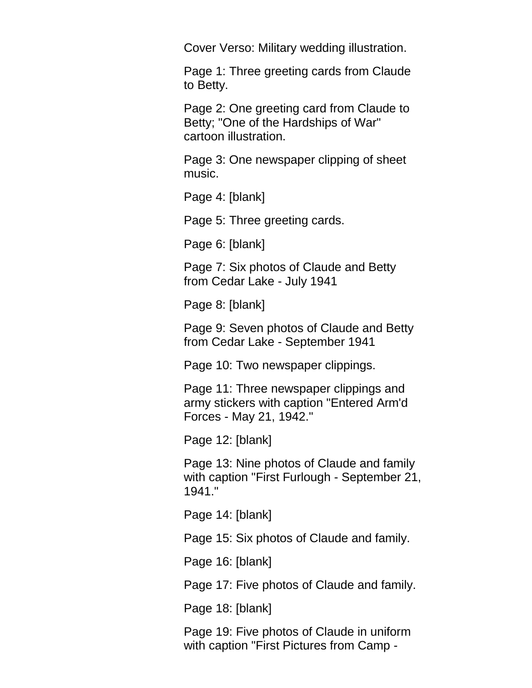Cover Verso: Military wedding illustration.

Page 1: Three greeting cards from Claude to Betty.

Page 2: One greeting card from Claude to Betty; "One of the Hardships of War" cartoon illustration.

Page 3: One newspaper clipping of sheet music.

Page 4: [blank]

Page 5: Three greeting cards.

Page 6: [blank]

Page 7: Six photos of Claude and Betty from Cedar Lake - July 1941

Page 8: [blank]

Page 9: Seven photos of Claude and Betty from Cedar Lake - September 1941

Page 10: Two newspaper clippings.

Page 11: Three newspaper clippings and army stickers with caption "Entered Arm'd Forces - May 21, 1942."

Page 12: [blank]

Page 13: Nine photos of Claude and family with caption "First Furlough - September 21, 1941."

Page 14: [blank]

Page 15: Six photos of Claude and family.

Page 16: [blank]

Page 17: Five photos of Claude and family.

Page 18: [blank]

Page 19: Five photos of Claude in uniform with caption "First Pictures from Camp -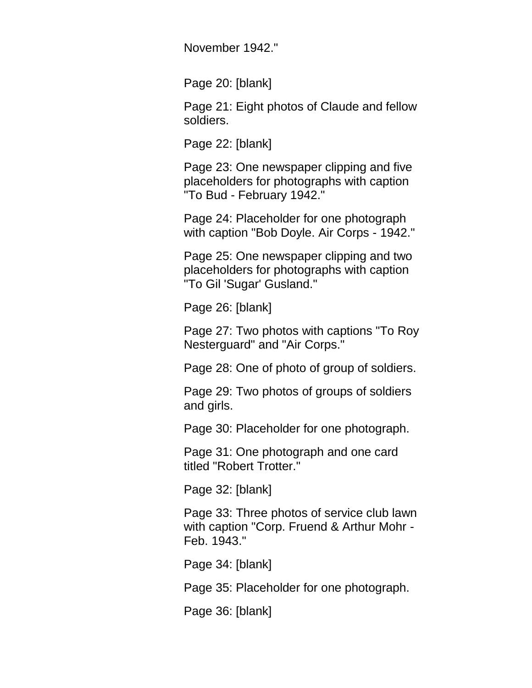November 1942."

Page 20: [blank]

Page 21: Eight photos of Claude and fellow soldiers.

Page 22: [blank]

Page 23: One newspaper clipping and five placeholders for photographs with caption "To Bud - February 1942."

Page 24: Placeholder for one photograph with caption "Bob Doyle. Air Corps - 1942."

Page 25: One newspaper clipping and two placeholders for photographs with caption "To Gil 'Sugar' Gusland."

Page 26: [blank]

Page 27: Two photos with captions "To Roy Nesterguard" and "Air Corps."

Page 28: One of photo of group of soldiers.

Page 29: Two photos of groups of soldiers and girls.

Page 30: Placeholder for one photograph.

Page 31: One photograph and one card titled "Robert Trotter."

Page 32: [blank]

Page 33: Three photos of service club lawn with caption "Corp. Fruend & Arthur Mohr - Feb. 1943."

Page 34: [blank]

Page 35: Placeholder for one photograph.

Page 36: [blank]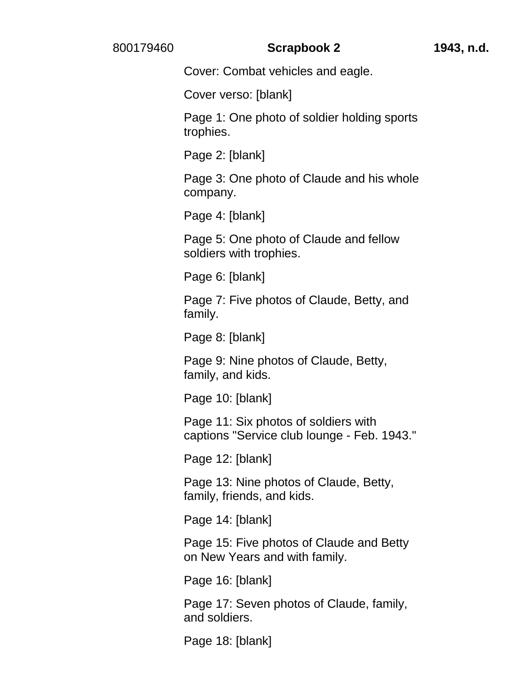#### 800179460 **Scrapbook 2 1943, n.d.**

Cover: Combat vehicles and eagle.

Cover verso: [blank]

Page 1: One photo of soldier holding sports trophies.

Page 2: [blank]

Page 3: One photo of Claude and his whole company.

Page 4: [blank]

Page 5: One photo of Claude and fellow soldiers with trophies.

Page 6: [blank]

Page 7: Five photos of Claude, Betty, and family.

Page 8: [blank]

Page 9: Nine photos of Claude, Betty, family, and kids.

Page 10: [blank]

Page 11: Six photos of soldiers with captions "Service club lounge - Feb. 1943."

Page 12: [blank]

Page 13: Nine photos of Claude, Betty, family, friends, and kids.

Page 14: [blank]

Page 15: Five photos of Claude and Betty on New Years and with family.

Page 16: [blank]

Page 17: Seven photos of Claude, family, and soldiers.

Page 18: [blank]